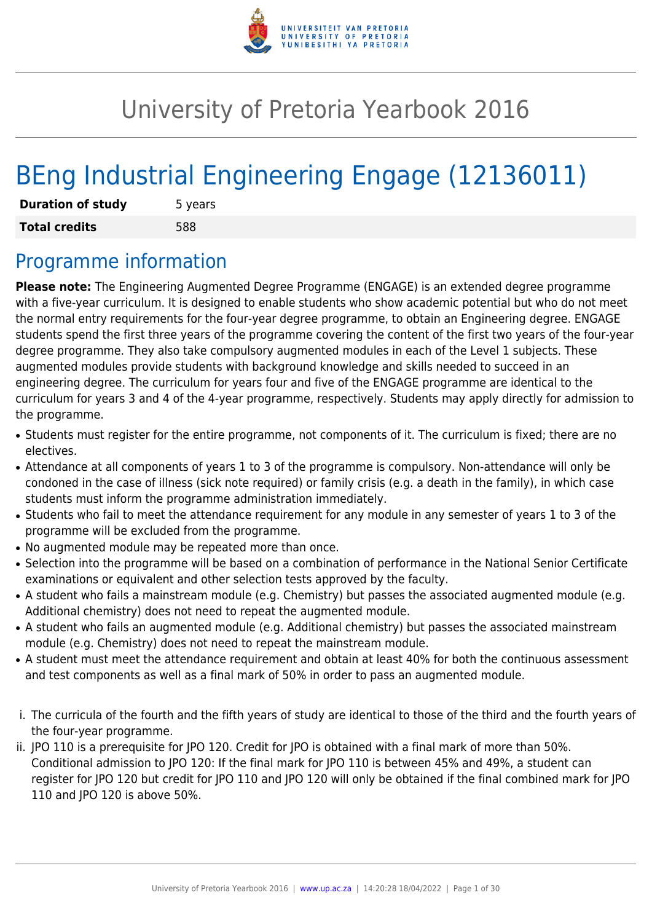

# University of Pretoria Yearbook 2016

# BEng Industrial Engineering Engage (12136011)

| <b>Duration of study</b> | 5 years |
|--------------------------|---------|
| <b>Total credits</b>     | 588     |

# Programme information

**Please note:** The Engineering Augmented Degree Programme (ENGAGE) is an extended degree programme with a five-year curriculum. It is designed to enable students who show academic potential but who do not meet the normal entry requirements for the four-year degree programme, to obtain an Engineering degree. ENGAGE students spend the first three years of the programme covering the content of the first two years of the four-year degree programme. They also take compulsory augmented modules in each of the Level 1 subjects. These augmented modules provide students with background knowledge and skills needed to succeed in an engineering degree. The curriculum for years four and five of the ENGAGE programme are identical to the curriculum for years 3 and 4 of the 4-year programme, respectively. Students may apply directly for admission to the programme.

- Students must register for the entire programme, not components of it. The curriculum is fixed; there are no electives.
- Attendance at all components of years 1 to 3 of the programme is compulsory. Non-attendance will only be condoned in the case of illness (sick note required) or family crisis (e.g. a death in the family), in which case students must inform the programme administration immediately.
- Students who fail to meet the attendance requirement for any module in any semester of years 1 to 3 of the programme will be excluded from the programme.
- No augmented module may be repeated more than once.
- Selection into the programme will be based on a combination of performance in the National Senior Certificate examinations or equivalent and other selection tests approved by the faculty.
- A student who fails a mainstream module (e.g. Chemistry) but passes the associated augmented module (e.g. Additional chemistry) does not need to repeat the augmented module.
- A student who fails an augmented module (e.g. Additional chemistry) but passes the associated mainstream module (e.g. Chemistry) does not need to repeat the mainstream module.
- A student must meet the attendance requirement and obtain at least 40% for both the continuous assessment and test components as well as a final mark of 50% in order to pass an augmented module.
- i. The curricula of the fourth and the fifth years of study are identical to those of the third and the fourth years of the four-year programme.
- ii. JPO 110 is a prerequisite for JPO 120. Credit for JPO is obtained with a final mark of more than 50%. Conditional admission to JPO 120: If the final mark for JPO 110 is between 45% and 49%, a student can register for JPO 120 but credit for JPO 110 and JPO 120 will only be obtained if the final combined mark for JPO 110 and JPO 120 is above 50%.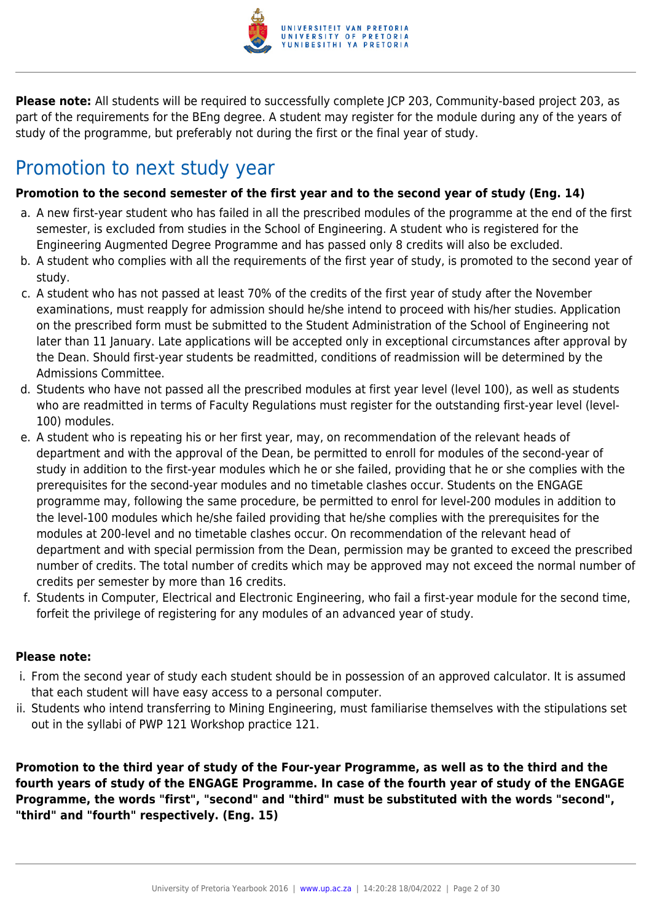

**Please note:** All students will be required to successfully complete JCP 203, Community-based project 203, as part of the requirements for the BEng degree. A student may register for the module during any of the years of study of the programme, but preferably not during the first or the final year of study.

# Promotion to next study year

# **Promotion to the second semester of the first year and to the second year of study (Eng. 14)**

- a. A new first-year student who has failed in all the prescribed modules of the programme at the end of the first semester, is excluded from studies in the School of Engineering. A student who is registered for the Engineering Augmented Degree Programme and has passed only 8 credits will also be excluded.
- b. A student who complies with all the requirements of the first year of study, is promoted to the second year of study.
- c. A student who has not passed at least 70% of the credits of the first year of study after the November examinations, must reapply for admission should he/she intend to proceed with his/her studies. Application on the prescribed form must be submitted to the Student Administration of the School of Engineering not later than 11 January. Late applications will be accepted only in exceptional circumstances after approval by the Dean. Should first-year students be readmitted, conditions of readmission will be determined by the Admissions Committee.
- d. Students who have not passed all the prescribed modules at first year level (level 100), as well as students who are readmitted in terms of Faculty Regulations must register for the outstanding first-year level (level-100) modules.
- e. A student who is repeating his or her first year, may, on recommendation of the relevant heads of department and with the approval of the Dean, be permitted to enroll for modules of the second-year of study in addition to the first-year modules which he or she failed, providing that he or she complies with the prerequisites for the second-year modules and no timetable clashes occur. Students on the ENGAGE programme may, following the same procedure, be permitted to enrol for level-200 modules in addition to the level-100 modules which he/she failed providing that he/she complies with the prerequisites for the modules at 200-level and no timetable clashes occur. On recommendation of the relevant head of department and with special permission from the Dean, permission may be granted to exceed the prescribed number of credits. The total number of credits which may be approved may not exceed the normal number of credits per semester by more than 16 credits.
- f. Students in Computer, Electrical and Electronic Engineering, who fail a first-year module for the second time, forfeit the privilege of registering for any modules of an advanced year of study.

# **Please note:**

- i. From the second year of study each student should be in possession of an approved calculator. It is assumed that each student will have easy access to a personal computer.
- ii. Students who intend transferring to Mining Engineering, must familiarise themselves with the stipulations set out in the syllabi of PWP 121 Workshop practice 121.

**Promotion to the third year of study of the Four-year Programme, as well as to the third and the fourth years of study of the ENGAGE Programme. In case of the fourth year of study of the ENGAGE Programme, the words "first", "second" and "third" must be substituted with the words "second", "third" and "fourth" respectively. (Eng. 15)**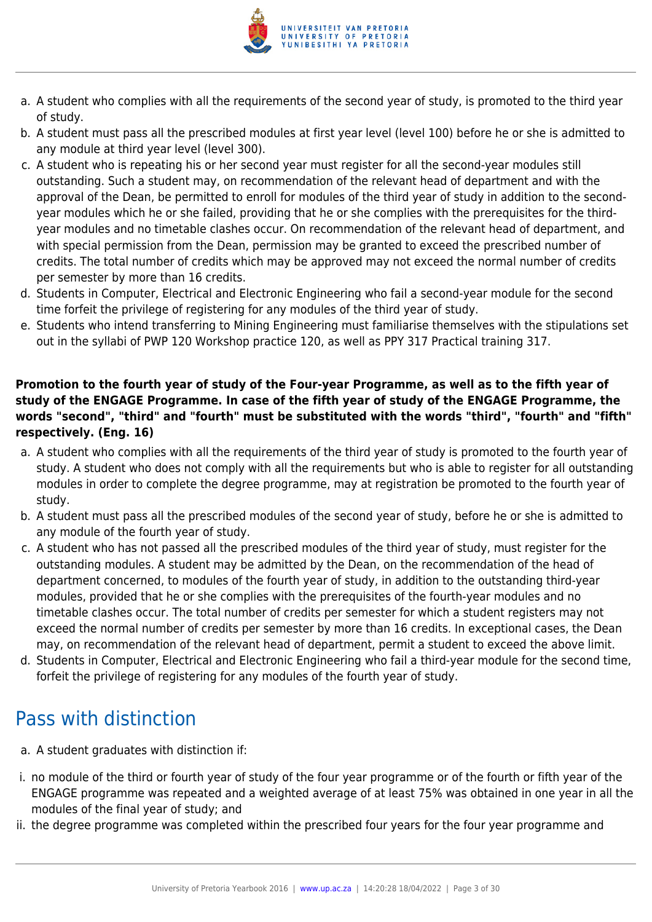

- a. A student who complies with all the requirements of the second year of study, is promoted to the third year of study.
- b. A student must pass all the prescribed modules at first year level (level 100) before he or she is admitted to any module at third year level (level 300).
- c. A student who is repeating his or her second year must register for all the second-year modules still outstanding. Such a student may, on recommendation of the relevant head of department and with the approval of the Dean, be permitted to enroll for modules of the third year of study in addition to the secondyear modules which he or she failed, providing that he or she complies with the prerequisites for the thirdyear modules and no timetable clashes occur. On recommendation of the relevant head of department, and with special permission from the Dean, permission may be granted to exceed the prescribed number of credits. The total number of credits which may be approved may not exceed the normal number of credits per semester by more than 16 credits.
- d. Students in Computer, Electrical and Electronic Engineering who fail a second-year module for the second time forfeit the privilege of registering for any modules of the third year of study.
- e. Students who intend transferring to Mining Engineering must familiarise themselves with the stipulations set out in the syllabi of PWP 120 Workshop practice 120, as well as PPY 317 Practical training 317.

## **Promotion to the fourth year of study of the Four-year Programme, as well as to the fifth year of study of the ENGAGE Programme. In case of the fifth year of study of the ENGAGE Programme, the words "second", "third" and "fourth" must be substituted with the words "third", "fourth" and "fifth" respectively. (Eng. 16)**

- a. A student who complies with all the requirements of the third year of study is promoted to the fourth year of study. A student who does not comply with all the requirements but who is able to register for all outstanding modules in order to complete the degree programme, may at registration be promoted to the fourth year of study.
- b. A student must pass all the prescribed modules of the second year of study, before he or she is admitted to any module of the fourth year of study.
- c. A student who has not passed all the prescribed modules of the third year of study, must register for the outstanding modules. A student may be admitted by the Dean, on the recommendation of the head of department concerned, to modules of the fourth year of study, in addition to the outstanding third-year modules, provided that he or she complies with the prerequisites of the fourth-year modules and no timetable clashes occur. The total number of credits per semester for which a student registers may not exceed the normal number of credits per semester by more than 16 credits. In exceptional cases, the Dean may, on recommendation of the relevant head of department, permit a student to exceed the above limit.
- d. Students in Computer, Electrical and Electronic Engineering who fail a third-year module for the second time, forfeit the privilege of registering for any modules of the fourth year of study.

# Pass with distinction

- a. A student graduates with distinction if:
- i. no module of the third or fourth year of study of the four year programme or of the fourth or fifth year of the ENGAGE programme was repeated and a weighted average of at least 75% was obtained in one year in all the modules of the final year of study; and
- ii. the degree programme was completed within the prescribed four years for the four year programme and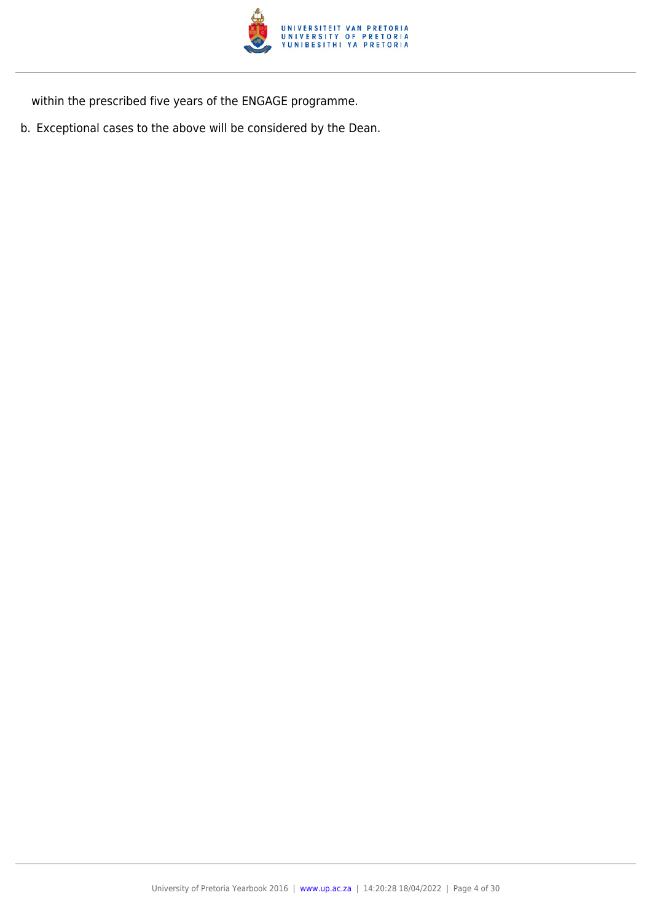

within the prescribed five years of the ENGAGE programme.

b. Exceptional cases to the above will be considered by the Dean.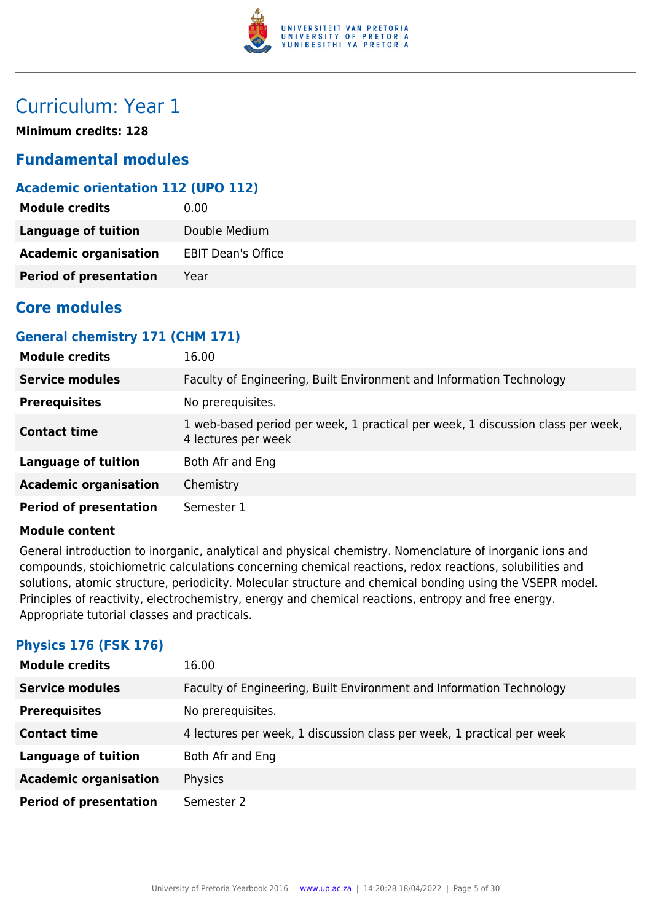

# Curriculum: Year 1

**Minimum credits: 128**

# **Fundamental modules**

# **Academic orientation 112 (UPO 112)**

| <b>Module credits</b>         | 0.00                      |
|-------------------------------|---------------------------|
| <b>Language of tuition</b>    | Double Medium             |
| <b>Academic organisation</b>  | <b>EBIT Dean's Office</b> |
| <b>Period of presentation</b> | Year                      |

# **Core modules**

# **General chemistry 171 (CHM 171)**

| <b>Module credits</b>         | 16.00                                                                                                  |
|-------------------------------|--------------------------------------------------------------------------------------------------------|
| <b>Service modules</b>        | Faculty of Engineering, Built Environment and Information Technology                                   |
| <b>Prerequisites</b>          | No prerequisites.                                                                                      |
| <b>Contact time</b>           | 1 web-based period per week, 1 practical per week, 1 discussion class per week,<br>4 lectures per week |
| <b>Language of tuition</b>    | Both Afr and Eng                                                                                       |
| <b>Academic organisation</b>  | Chemistry                                                                                              |
| <b>Period of presentation</b> | Semester 1                                                                                             |

#### **Module content**

General introduction to inorganic, analytical and physical chemistry. Nomenclature of inorganic ions and compounds, stoichiometric calculations concerning chemical reactions, redox reactions, solubilities and solutions, atomic structure, periodicity. Molecular structure and chemical bonding using the VSEPR model. Principles of reactivity, electrochemistry, energy and chemical reactions, entropy and free energy. Appropriate tutorial classes and practicals.

# **Physics 176 (FSK 176)**

| <b>Module credits</b>         | 16.00                                                                  |
|-------------------------------|------------------------------------------------------------------------|
| <b>Service modules</b>        | Faculty of Engineering, Built Environment and Information Technology   |
| <b>Prerequisites</b>          | No prerequisites.                                                      |
| <b>Contact time</b>           | 4 lectures per week, 1 discussion class per week, 1 practical per week |
| <b>Language of tuition</b>    | Both Afr and Eng                                                       |
| <b>Academic organisation</b>  | Physics                                                                |
| <b>Period of presentation</b> | Semester 2                                                             |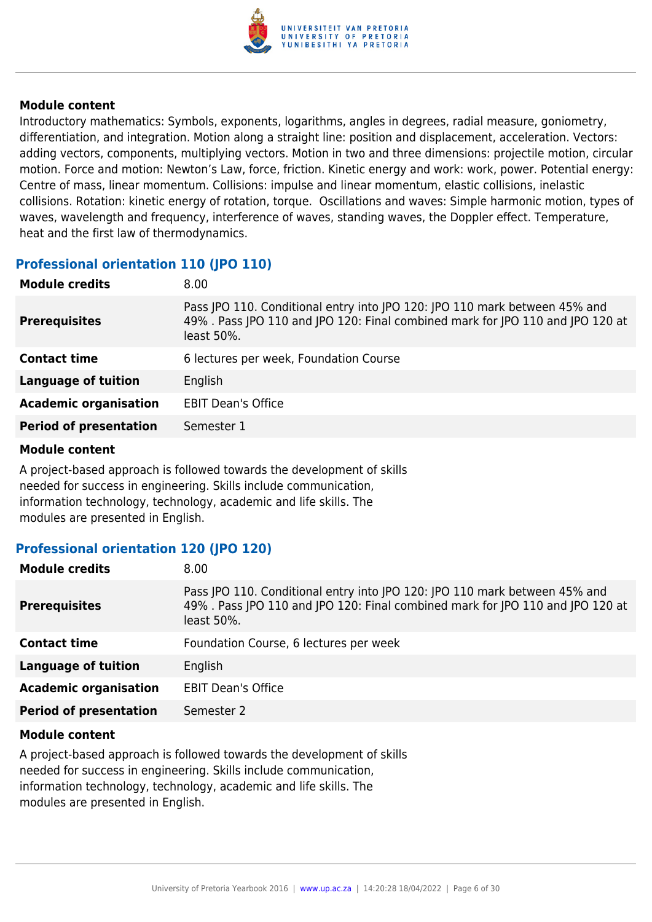

Introductory mathematics: Symbols, exponents, logarithms, angles in degrees, radial measure, goniometry, differentiation, and integration. Motion along a straight line: position and displacement, acceleration. Vectors: adding vectors, components, multiplying vectors. Motion in two and three dimensions: projectile motion, circular motion. Force and motion: Newton's Law, force, friction. Kinetic energy and work: work, power. Potential energy: Centre of mass, linear momentum. Collisions: impulse and linear momentum, elastic collisions, inelastic collisions. Rotation: kinetic energy of rotation, torque. Oscillations and waves: Simple harmonic motion, types of waves, wavelength and frequency, interference of waves, standing waves, the Doppler effect. Temperature, heat and the first law of thermodynamics.

# **Professional orientation 110 (JPO 110)**

| <b>Module credits</b>         | 8.00                                                                                                                                                                      |
|-------------------------------|---------------------------------------------------------------------------------------------------------------------------------------------------------------------------|
| <b>Prerequisites</b>          | Pass JPO 110. Conditional entry into JPO 120: JPO 110 mark between 45% and<br>49%. Pass JPO 110 and JPO 120: Final combined mark for JPO 110 and JPO 120 at<br>least 50%. |
| <b>Contact time</b>           | 6 lectures per week, Foundation Course                                                                                                                                    |
| <b>Language of tuition</b>    | English                                                                                                                                                                   |
| <b>Academic organisation</b>  | <b>EBIT Dean's Office</b>                                                                                                                                                 |
| <b>Period of presentation</b> | Semester 1                                                                                                                                                                |
|                               |                                                                                                                                                                           |

#### **Module content**

A project-based approach is followed towards the development of skills needed for success in engineering. Skills include communication, information technology, technology, academic and life skills. The modules are presented in English.

# **Professional orientation 120 (JPO 120)**

| <b>Module credits</b>         | 8.00                                                                                                                                                                      |
|-------------------------------|---------------------------------------------------------------------------------------------------------------------------------------------------------------------------|
| <b>Prerequisites</b>          | Pass JPO 110. Conditional entry into JPO 120: JPO 110 mark between 45% and<br>49%. Pass JPO 110 and JPO 120: Final combined mark for JPO 110 and JPO 120 at<br>least 50%. |
| <b>Contact time</b>           | Foundation Course, 6 lectures per week                                                                                                                                    |
| <b>Language of tuition</b>    | English                                                                                                                                                                   |
| <b>Academic organisation</b>  | <b>EBIT Dean's Office</b>                                                                                                                                                 |
| <b>Period of presentation</b> | Semester 2                                                                                                                                                                |

#### **Module content**

A project-based approach is followed towards the development of skills needed for success in engineering. Skills include communication, information technology, technology, academic and life skills. The modules are presented in English.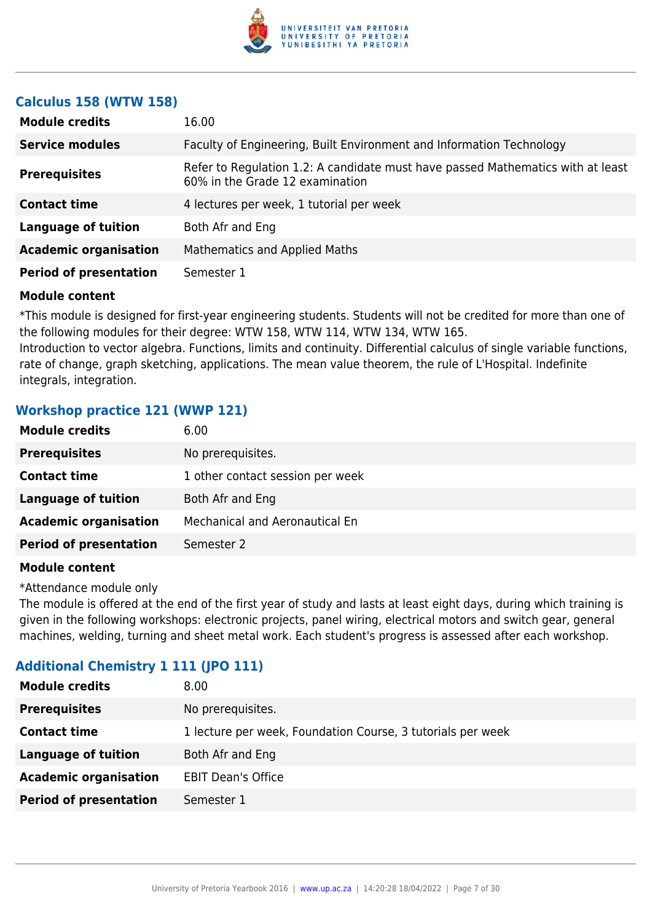

### **Calculus 158 (WTW 158)**

| <b>Module credits</b>         | 16.00                                                                                                              |
|-------------------------------|--------------------------------------------------------------------------------------------------------------------|
| <b>Service modules</b>        | Faculty of Engineering, Built Environment and Information Technology                                               |
| <b>Prerequisites</b>          | Refer to Regulation 1.2: A candidate must have passed Mathematics with at least<br>60% in the Grade 12 examination |
| <b>Contact time</b>           | 4 lectures per week, 1 tutorial per week                                                                           |
| <b>Language of tuition</b>    | Both Afr and Eng                                                                                                   |
| <b>Academic organisation</b>  | <b>Mathematics and Applied Maths</b>                                                                               |
| <b>Period of presentation</b> | Semester 1                                                                                                         |

#### **Module content**

\*This module is designed for first-year engineering students. Students will not be credited for more than one of the following modules for their degree: WTW 158, WTW 114, WTW 134, WTW 165.

Introduction to vector algebra. Functions, limits and continuity. Differential calculus of single variable functions, rate of change, graph sketching, applications. The mean value theorem, the rule of L'Hospital. Indefinite integrals, integration.

# **Workshop practice 121 (WWP 121)**

| <b>Module credits</b>         | 6.00                             |
|-------------------------------|----------------------------------|
| <b>Prerequisites</b>          | No prerequisites.                |
| <b>Contact time</b>           | 1 other contact session per week |
| <b>Language of tuition</b>    | Both Afr and Eng                 |
| <b>Academic organisation</b>  | Mechanical and Aeronautical En   |
| <b>Period of presentation</b> | Semester 2                       |
|                               |                                  |

#### **Module content**

\*Attendance module only

The module is offered at the end of the first year of study and lasts at least eight days, during which training is given in the following workshops: electronic projects, panel wiring, electrical motors and switch gear, general machines, welding, turning and sheet metal work. Each student's progress is assessed after each workshop.

# **Additional Chemistry 1 111 (JPO 111)**

| <b>Module credits</b>         | 8.00                                                        |
|-------------------------------|-------------------------------------------------------------|
| <b>Prerequisites</b>          | No prerequisites.                                           |
| <b>Contact time</b>           | 1 lecture per week, Foundation Course, 3 tutorials per week |
| <b>Language of tuition</b>    | Both Afr and Eng                                            |
| <b>Academic organisation</b>  | <b>EBIT Dean's Office</b>                                   |
| <b>Period of presentation</b> | Semester 1                                                  |
|                               |                                                             |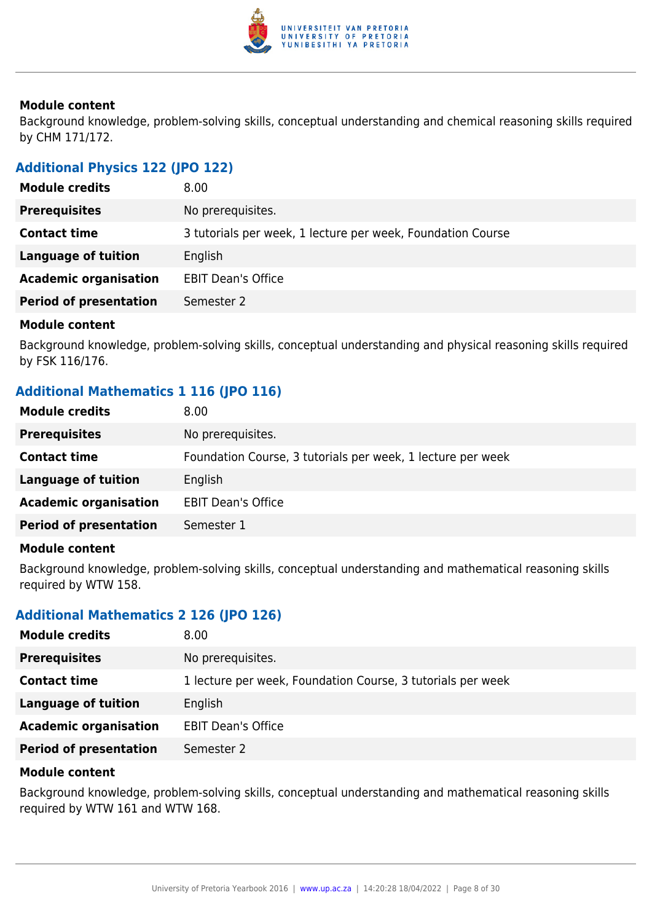

Background knowledge, problem-solving skills, conceptual understanding and chemical reasoning skills required by CHM 171/172.

## **Additional Physics 122 (JPO 122)**

| <b>Module credits</b>         | 8.00                                                        |
|-------------------------------|-------------------------------------------------------------|
| <b>Prerequisites</b>          | No prerequisites.                                           |
| <b>Contact time</b>           | 3 tutorials per week, 1 lecture per week, Foundation Course |
| <b>Language of tuition</b>    | English                                                     |
| <b>Academic organisation</b>  | <b>EBIT Dean's Office</b>                                   |
| <b>Period of presentation</b> | Semester 2                                                  |

#### **Module content**

Background knowledge, problem-solving skills, conceptual understanding and physical reasoning skills required by FSK 116/176.

# **Additional Mathematics 1 116 (JPO 116)**

| <b>Module credits</b>         | 8.00                                                        |
|-------------------------------|-------------------------------------------------------------|
| <b>Prerequisites</b>          | No prerequisites.                                           |
| <b>Contact time</b>           | Foundation Course, 3 tutorials per week, 1 lecture per week |
| Language of tuition           | English                                                     |
| <b>Academic organisation</b>  | <b>EBIT Dean's Office</b>                                   |
| <b>Period of presentation</b> | Semester 1                                                  |
|                               |                                                             |

#### **Module content**

Background knowledge, problem-solving skills, conceptual understanding and mathematical reasoning skills required by WTW 158.

#### **Additional Mathematics 2 126 (JPO 126)**

| <b>Module credits</b>         | 8.00                                                        |
|-------------------------------|-------------------------------------------------------------|
| <b>Prerequisites</b>          | No prerequisites.                                           |
| <b>Contact time</b>           | 1 lecture per week, Foundation Course, 3 tutorials per week |
| Language of tuition           | English                                                     |
| <b>Academic organisation</b>  | <b>EBIT Dean's Office</b>                                   |
| <b>Period of presentation</b> | Semester 2                                                  |

#### **Module content**

Background knowledge, problem-solving skills, conceptual understanding and mathematical reasoning skills required by WTW 161 and WTW 168.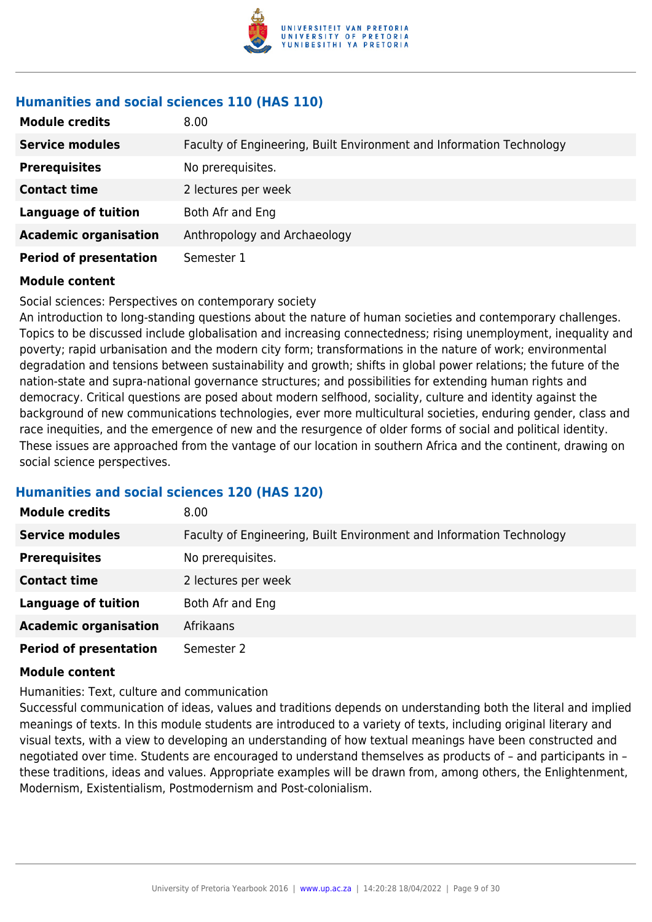

# **Humanities and social sciences 110 (HAS 110)**

| <b>Module credits</b>         | 8.00                                                                 |
|-------------------------------|----------------------------------------------------------------------|
| <b>Service modules</b>        | Faculty of Engineering, Built Environment and Information Technology |
| <b>Prerequisites</b>          | No prerequisites.                                                    |
| <b>Contact time</b>           | 2 lectures per week                                                  |
| <b>Language of tuition</b>    | Both Afr and Eng                                                     |
| <b>Academic organisation</b>  | Anthropology and Archaeology                                         |
| <b>Period of presentation</b> | Semester 1                                                           |

#### **Module content**

#### Social sciences: Perspectives on contemporary society

An introduction to long-standing questions about the nature of human societies and contemporary challenges. Topics to be discussed include globalisation and increasing connectedness; rising unemployment, inequality and poverty; rapid urbanisation and the modern city form; transformations in the nature of work; environmental degradation and tensions between sustainability and growth; shifts in global power relations; the future of the nation-state and supra-national governance structures; and possibilities for extending human rights and democracy. Critical questions are posed about modern selfhood, sociality, culture and identity against the background of new communications technologies, ever more multicultural societies, enduring gender, class and race inequities, and the emergence of new and the resurgence of older forms of social and political identity. These issues are approached from the vantage of our location in southern Africa and the continent, drawing on social science perspectives.

#### **Humanities and social sciences 120 (HAS 120)**

| <b>Module credits</b>         | 8.00                                                                 |
|-------------------------------|----------------------------------------------------------------------|
| <b>Service modules</b>        | Faculty of Engineering, Built Environment and Information Technology |
| <b>Prerequisites</b>          | No prerequisites.                                                    |
| <b>Contact time</b>           | 2 lectures per week                                                  |
| <b>Language of tuition</b>    | Both Afr and Eng                                                     |
| <b>Academic organisation</b>  | Afrikaans                                                            |
| <b>Period of presentation</b> | Semester 2                                                           |

#### **Module content**

Humanities: Text, culture and communication

Successful communication of ideas, values and traditions depends on understanding both the literal and implied meanings of texts. In this module students are introduced to a variety of texts, including original literary and visual texts, with a view to developing an understanding of how textual meanings have been constructed and negotiated over time. Students are encouraged to understand themselves as products of – and participants in – these traditions, ideas and values. Appropriate examples will be drawn from, among others, the Enlightenment, Modernism, Existentialism, Postmodernism and Post-colonialism.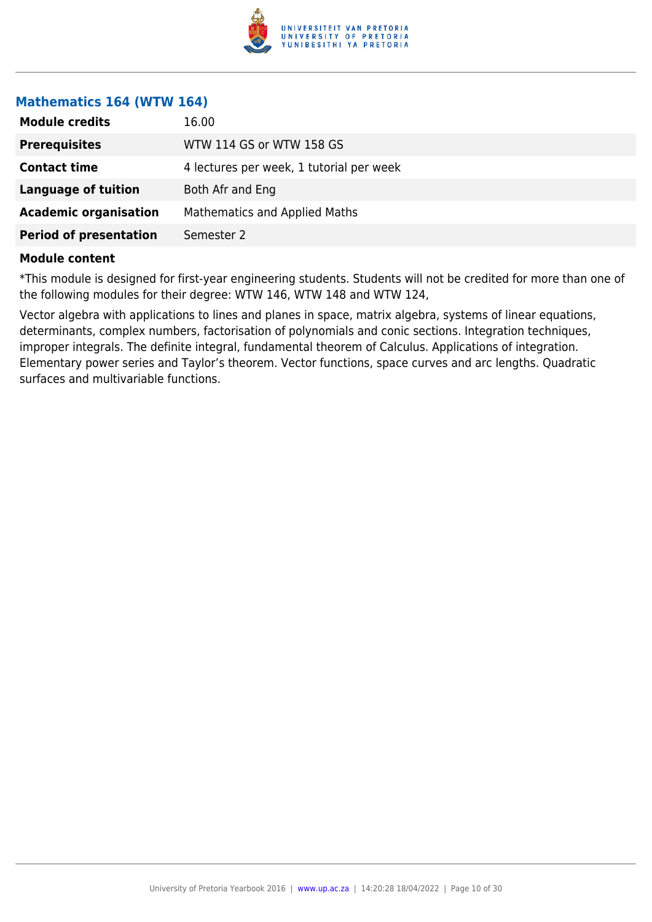

#### **Mathematics 164 (WTW 164)**

| <b>Module credits</b>         | 16.00                                    |
|-------------------------------|------------------------------------------|
| <b>Prerequisites</b>          | WTW 114 GS or WTW 158 GS                 |
| <b>Contact time</b>           | 4 lectures per week, 1 tutorial per week |
| <b>Language of tuition</b>    | Both Afr and Eng                         |
| <b>Academic organisation</b>  | Mathematics and Applied Maths            |
| <b>Period of presentation</b> | Semester 2                               |
|                               |                                          |

#### **Module content**

\*This module is designed for first-year engineering students. Students will not be credited for more than one of the following modules for their degree: WTW 146, WTW 148 and WTW 124,

Vector algebra with applications to lines and planes in space, matrix algebra, systems of linear equations, determinants, complex numbers, factorisation of polynomials and conic sections. Integration techniques, improper integrals. The definite integral, fundamental theorem of Calculus. Applications of integration. Elementary power series and Taylor's theorem. Vector functions, space curves and arc lengths. Quadratic surfaces and multivariable functions.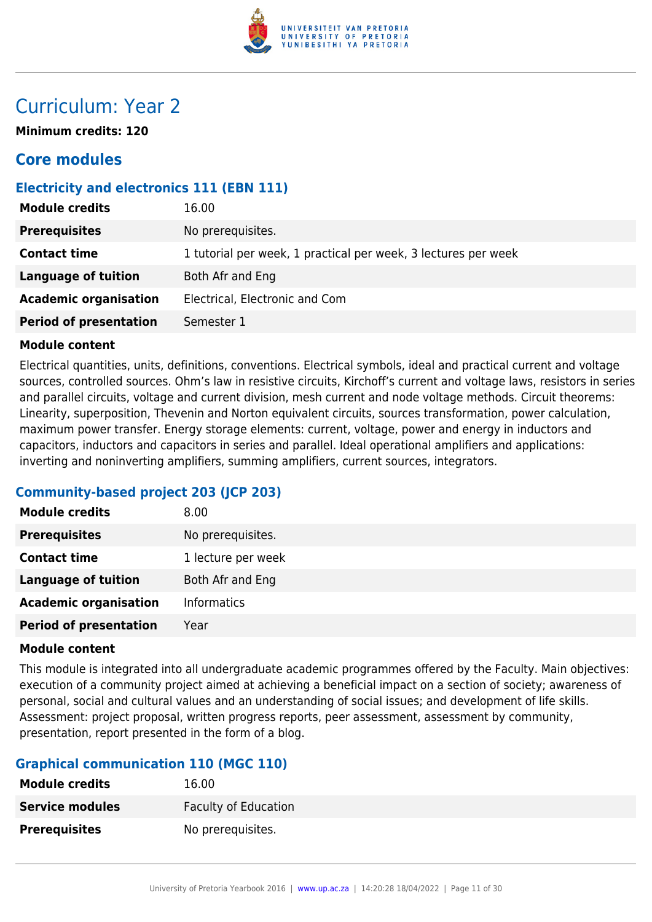

# Curriculum: Year 2

**Minimum credits: 120**

# **Core modules**

# **Electricity and electronics 111 (EBN 111)**

| <b>Module credits</b>         | 16.00                                                          |
|-------------------------------|----------------------------------------------------------------|
| <b>Prerequisites</b>          | No prerequisites.                                              |
| <b>Contact time</b>           | 1 tutorial per week, 1 practical per week, 3 lectures per week |
| <b>Language of tuition</b>    | Both Afr and Eng                                               |
| <b>Academic organisation</b>  | Electrical, Electronic and Com                                 |
| <b>Period of presentation</b> | Semester 1                                                     |

#### **Module content**

Electrical quantities, units, definitions, conventions. Electrical symbols, ideal and practical current and voltage sources, controlled sources. Ohm's law in resistive circuits, Kirchoff's current and voltage laws, resistors in series and parallel circuits, voltage and current division, mesh current and node voltage methods. Circuit theorems: Linearity, superposition, Thevenin and Norton equivalent circuits, sources transformation, power calculation, maximum power transfer. Energy storage elements: current, voltage, power and energy in inductors and capacitors, inductors and capacitors in series and parallel. Ideal operational amplifiers and applications: inverting and noninverting amplifiers, summing amplifiers, current sources, integrators.

# **Community-based project 203 (JCP 203)**

| <b>Module credits</b>         | 8.00               |
|-------------------------------|--------------------|
| <b>Prerequisites</b>          | No prerequisites.  |
| <b>Contact time</b>           | 1 lecture per week |
| <b>Language of tuition</b>    | Both Afr and Eng   |
| <b>Academic organisation</b>  | <b>Informatics</b> |
| <b>Period of presentation</b> | Year               |

#### **Module content**

This module is integrated into all undergraduate academic programmes offered by the Faculty. Main objectives: execution of a community project aimed at achieving a beneficial impact on a section of society; awareness of personal, social and cultural values and an understanding of social issues; and development of life skills. Assessment: project proposal, written progress reports, peer assessment, assessment by community, presentation, report presented in the form of a blog.

# **Graphical communication 110 (MGC 110)**

| <b>Module credits</b>  | 16.00                       |
|------------------------|-----------------------------|
| <b>Service modules</b> | <b>Faculty of Education</b> |
| <b>Prerequisites</b>   | No prerequisites.           |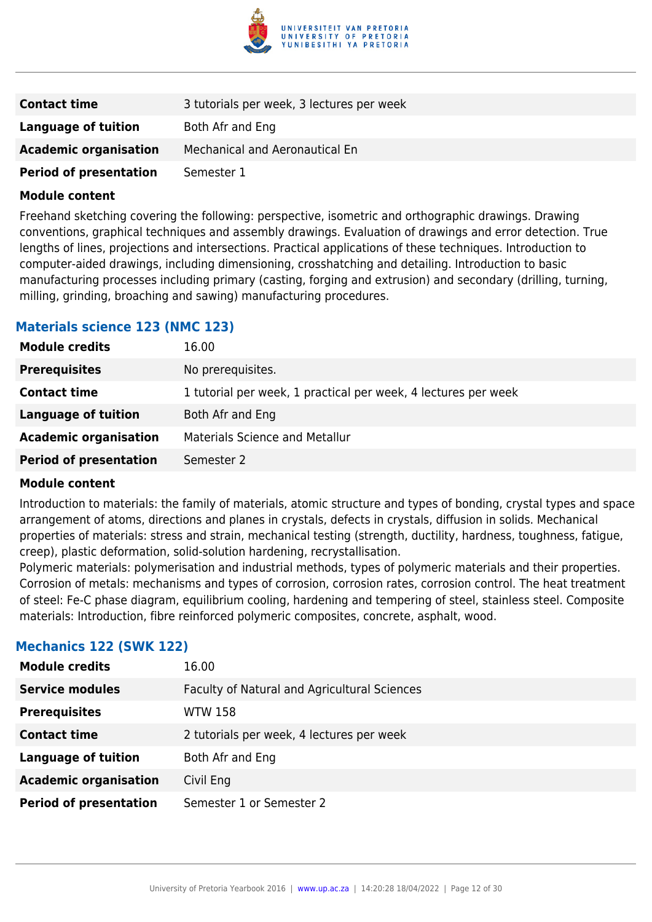

| <b>Contact time</b>           | 3 tutorials per week, 3 lectures per week |
|-------------------------------|-------------------------------------------|
| Language of tuition           | Both Afr and Eng                          |
| <b>Academic organisation</b>  | Mechanical and Aeronautical En            |
| <b>Period of presentation</b> | Semester 1                                |

Freehand sketching covering the following: perspective, isometric and orthographic drawings. Drawing conventions, graphical techniques and assembly drawings. Evaluation of drawings and error detection. True lengths of lines, projections and intersections. Practical applications of these techniques. Introduction to computer-aided drawings, including dimensioning, crosshatching and detailing. Introduction to basic manufacturing processes including primary (casting, forging and extrusion) and secondary (drilling, turning, milling, grinding, broaching and sawing) manufacturing procedures.

#### **Materials science 123 (NMC 123)**

| <b>Module credits</b><br>16.00              |                                                                |
|---------------------------------------------|----------------------------------------------------------------|
| <b>Prerequisites</b>                        | No prerequisites.                                              |
| <b>Contact time</b>                         | 1 tutorial per week, 1 practical per week, 4 lectures per week |
| <b>Language of tuition</b>                  | Both Afr and Eng                                               |
| <b>Academic organisation</b>                | <b>Materials Science and Metallur</b>                          |
| <b>Period of presentation</b><br>Semester 2 |                                                                |

#### **Module content**

Introduction to materials: the family of materials, atomic structure and types of bonding, crystal types and space arrangement of atoms, directions and planes in crystals, defects in crystals, diffusion in solids. Mechanical properties of materials: stress and strain, mechanical testing (strength, ductility, hardness, toughness, fatigue, creep), plastic deformation, solid-solution hardening, recrystallisation.

Polymeric materials: polymerisation and industrial methods, types of polymeric materials and their properties. Corrosion of metals: mechanisms and types of corrosion, corrosion rates, corrosion control. The heat treatment of steel: Fe-C phase diagram, equilibrium cooling, hardening and tempering of steel, stainless steel. Composite materials: Introduction, fibre reinforced polymeric composites, concrete, asphalt, wood.

# **Mechanics 122 (SWK 122)**

| <b>Module credits</b>         | 16.00                                        |
|-------------------------------|----------------------------------------------|
| <b>Service modules</b>        | Faculty of Natural and Agricultural Sciences |
| <b>Prerequisites</b>          | WTW 158                                      |
| <b>Contact time</b>           | 2 tutorials per week, 4 lectures per week    |
| <b>Language of tuition</b>    | Both Afr and Eng                             |
| <b>Academic organisation</b>  | Civil Eng                                    |
| <b>Period of presentation</b> | Semester 1 or Semester 2                     |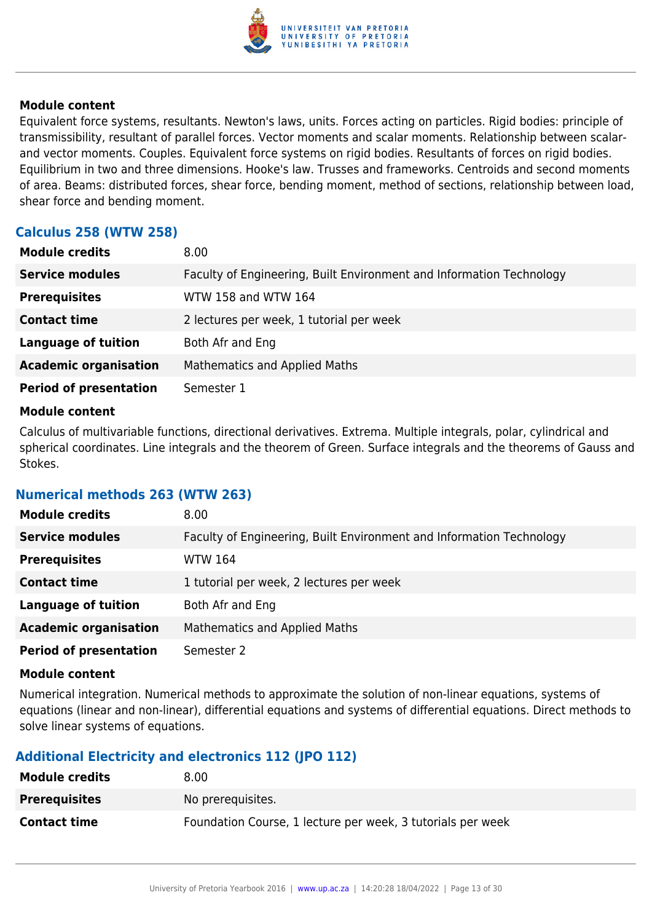

Equivalent force systems, resultants. Newton's laws, units. Forces acting on particles. Rigid bodies: principle of transmissibility, resultant of parallel forces. Vector moments and scalar moments. Relationship between scalarand vector moments. Couples. Equivalent force systems on rigid bodies. Resultants of forces on rigid bodies. Equilibrium in two and three dimensions. Hooke's law. Trusses and frameworks. Centroids and second moments of area. Beams: distributed forces, shear force, bending moment, method of sections, relationship between load, shear force and bending moment.

## **Calculus 258 (WTW 258)**

| <b>Module credits</b>         | 8.00 <sub>1</sub>                                                    |
|-------------------------------|----------------------------------------------------------------------|
| <b>Service modules</b>        | Faculty of Engineering, Built Environment and Information Technology |
| <b>Prerequisites</b>          | WTW 158 and WTW 164                                                  |
| <b>Contact time</b>           | 2 lectures per week, 1 tutorial per week                             |
| <b>Language of tuition</b>    | Both Afr and Eng                                                     |
| <b>Academic organisation</b>  | <b>Mathematics and Applied Maths</b>                                 |
| <b>Period of presentation</b> | Semester 1                                                           |

#### **Module content**

Calculus of multivariable functions, directional derivatives. Extrema. Multiple integrals, polar, cylindrical and spherical coordinates. Line integrals and the theorem of Green. Surface integrals and the theorems of Gauss and Stokes.

# **Numerical methods 263 (WTW 263)**

| <b>Module credits</b>         | 8.00                                                                 |
|-------------------------------|----------------------------------------------------------------------|
| <b>Service modules</b>        | Faculty of Engineering, Built Environment and Information Technology |
| <b>Prerequisites</b>          | WTW 164                                                              |
| <b>Contact time</b>           | 1 tutorial per week, 2 lectures per week                             |
| <b>Language of tuition</b>    | Both Afr and Eng                                                     |
| <b>Academic organisation</b>  | <b>Mathematics and Applied Maths</b>                                 |
| <b>Period of presentation</b> | Semester 2                                                           |

#### **Module content**

Numerical integration. Numerical methods to approximate the solution of non-linear equations, systems of equations (linear and non-linear), differential equations and systems of differential equations. Direct methods to solve linear systems of equations.

# **Additional Electricity and electronics 112 (JPO 112)**

| <b>Module credits</b> | 8.00                                                        |
|-----------------------|-------------------------------------------------------------|
| <b>Prerequisites</b>  | No prerequisites.                                           |
| <b>Contact time</b>   | Foundation Course, 1 lecture per week, 3 tutorials per week |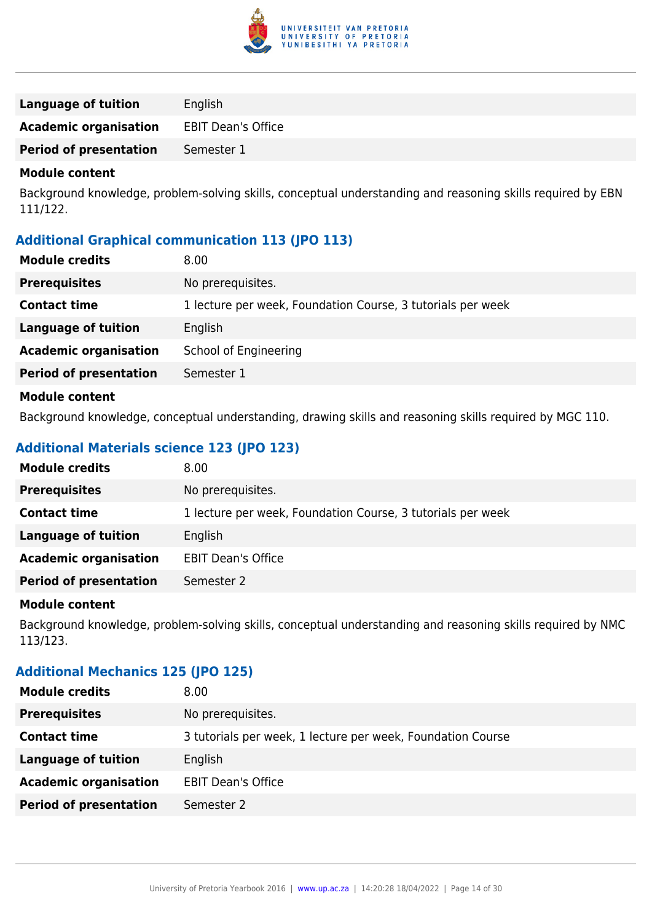

| English                   |
|---------------------------|
| <b>EBIT Dean's Office</b> |
| Semester 1                |
|                           |

Background knowledge, problem-solving skills, conceptual understanding and reasoning skills required by EBN 111/122.

# **Additional Graphical communication 113 (JPO 113)**

| <b>Module credits</b>         | 8.00                                                        |
|-------------------------------|-------------------------------------------------------------|
| <b>Prerequisites</b>          | No prerequisites.                                           |
| <b>Contact time</b>           | 1 lecture per week, Foundation Course, 3 tutorials per week |
| Language of tuition           | English                                                     |
| <b>Academic organisation</b>  | School of Engineering                                       |
| <b>Period of presentation</b> | Semester 1                                                  |
| <b>Module content</b>         |                                                             |

Background knowledge, conceptual understanding, drawing skills and reasoning skills required by MGC 110.

## **Additional Materials science 123 (JPO 123)**

| <b>Module credits</b>         | 8.00                                                        |
|-------------------------------|-------------------------------------------------------------|
| <b>Prerequisites</b>          | No prerequisites.                                           |
| <b>Contact time</b>           | 1 lecture per week, Foundation Course, 3 tutorials per week |
| Language of tuition           | English                                                     |
| <b>Academic organisation</b>  | <b>EBIT Dean's Office</b>                                   |
| <b>Period of presentation</b> | Semester 2                                                  |

#### **Module content**

Background knowledge, problem-solving skills, conceptual understanding and reasoning skills required by NMC 113/123.

#### **Additional Mechanics 125 (JPO 125)**

| <b>Module credits</b>         | 8.00                                                        |
|-------------------------------|-------------------------------------------------------------|
| <b>Prerequisites</b>          | No prerequisites.                                           |
| <b>Contact time</b>           | 3 tutorials per week, 1 lecture per week, Foundation Course |
| Language of tuition           | English                                                     |
| <b>Academic organisation</b>  | <b>EBIT Dean's Office</b>                                   |
| <b>Period of presentation</b> | Semester 2                                                  |
|                               |                                                             |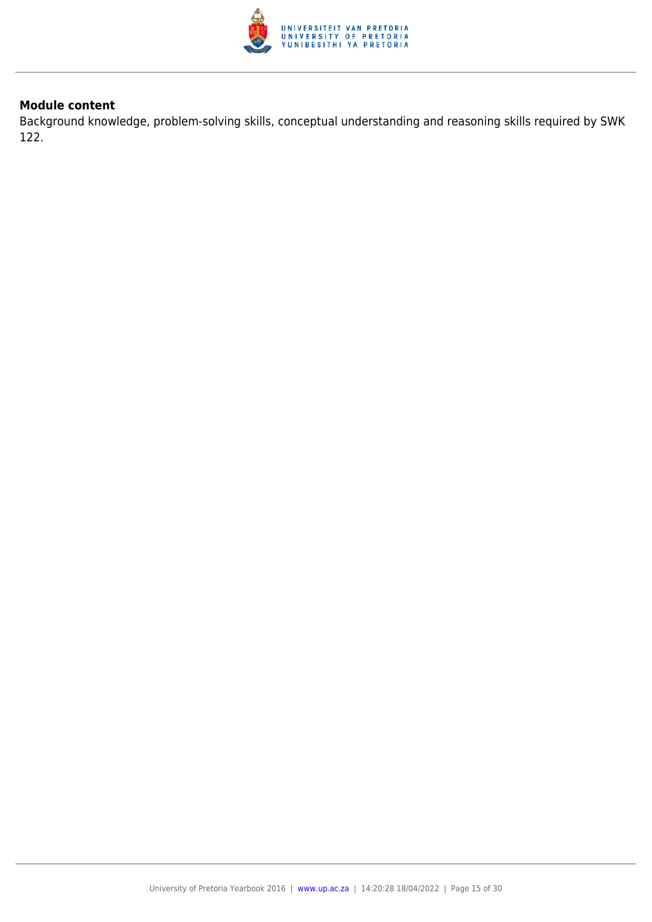

Background knowledge, problem-solving skills, conceptual understanding and reasoning skills required by SWK 122.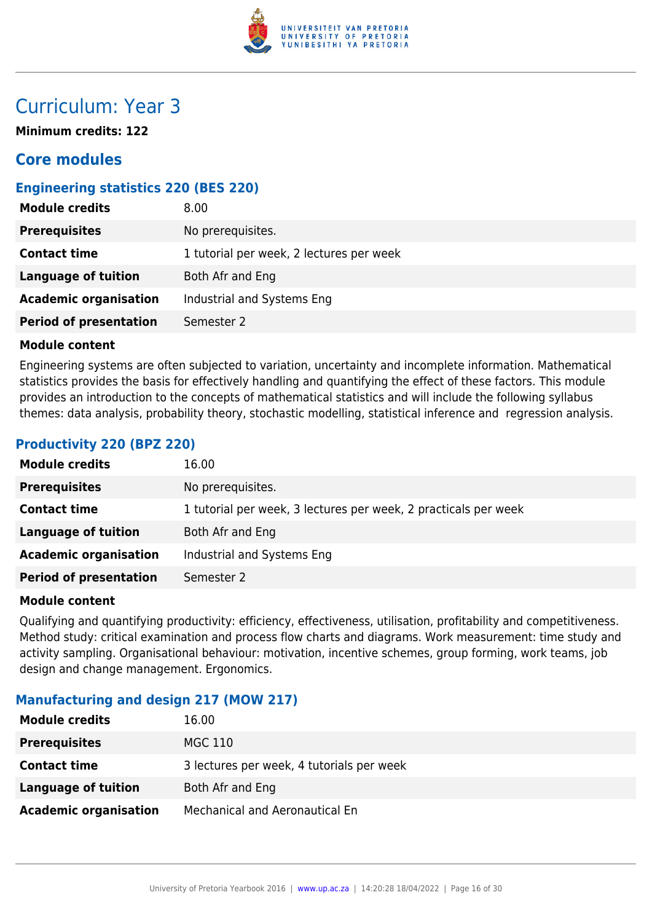

# Curriculum: Year 3

**Minimum credits: 122**

# **Core modules**

# **Engineering statistics 220 (BES 220)**

| <b>Module credits</b>         | 8.00                                     |
|-------------------------------|------------------------------------------|
| <b>Prerequisites</b>          | No prerequisites.                        |
| <b>Contact time</b>           | 1 tutorial per week, 2 lectures per week |
| Language of tuition           | Both Afr and Eng                         |
| <b>Academic organisation</b>  | Industrial and Systems Eng               |
| <b>Period of presentation</b> | Semester 2                               |

#### **Module content**

Engineering systems are often subjected to variation, uncertainty and incomplete information. Mathematical statistics provides the basis for effectively handling and quantifying the effect of these factors. This module provides an introduction to the concepts of mathematical statistics and will include the following syllabus themes: data analysis, probability theory, stochastic modelling, statistical inference and regression analysis.

# **Productivity 220 (BPZ 220)**

| <b>Module credits</b>         | 16.00                                                           |
|-------------------------------|-----------------------------------------------------------------|
| <b>Prerequisites</b>          | No prerequisites.                                               |
| <b>Contact time</b>           | 1 tutorial per week, 3 lectures per week, 2 practicals per week |
| Language of tuition           | Both Afr and Eng                                                |
| <b>Academic organisation</b>  | Industrial and Systems Eng                                      |
| <b>Period of presentation</b> | Semester 2                                                      |

#### **Module content**

Qualifying and quantifying productivity: efficiency, effectiveness, utilisation, profitability and competitiveness. Method study: critical examination and process flow charts and diagrams. Work measurement: time study and activity sampling. Organisational behaviour: motivation, incentive schemes, group forming, work teams, job design and change management. Ergonomics.

# **Manufacturing and design 217 (MOW 217)**

| <b>Module credits</b>        | 16.00                                     |
|------------------------------|-------------------------------------------|
| <b>Prerequisites</b>         | MGC 110                                   |
| <b>Contact time</b>          | 3 lectures per week, 4 tutorials per week |
| Language of tuition          | Both Afr and Eng                          |
| <b>Academic organisation</b> | Mechanical and Aeronautical En            |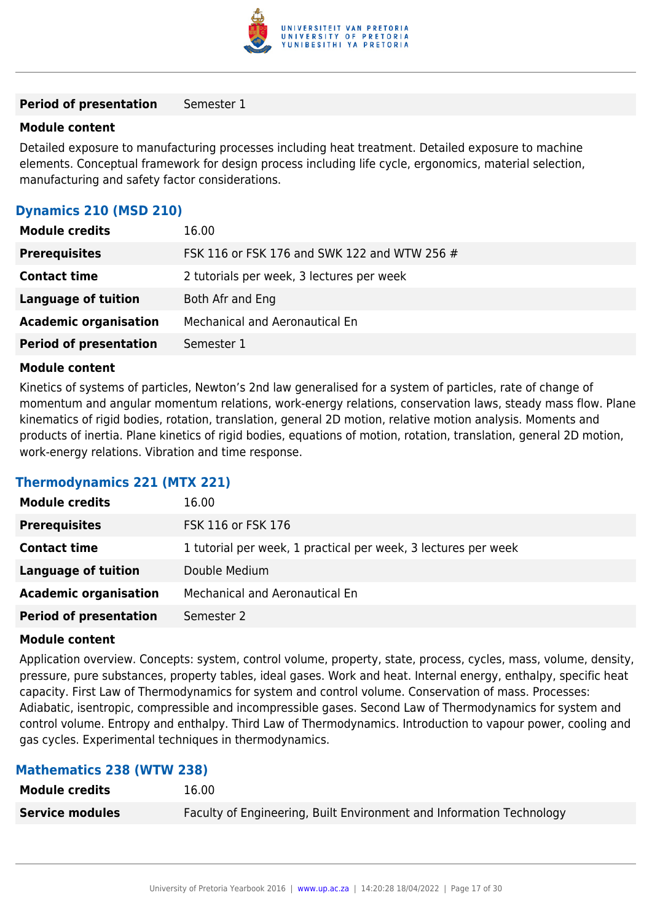

**Period of presentation** Semester 1

#### **Module content**

Detailed exposure to manufacturing processes including heat treatment. Detailed exposure to machine elements. Conceptual framework for design process including life cycle, ergonomics, material selection, manufacturing and safety factor considerations.

# **Dynamics 210 (MSD 210)**

| <b>Module credits</b>         | 16.00                                        |
|-------------------------------|----------------------------------------------|
| <b>Prerequisites</b>          | FSK 116 or FSK 176 and SWK 122 and WTW 256 # |
| <b>Contact time</b>           | 2 tutorials per week, 3 lectures per week    |
| <b>Language of tuition</b>    | Both Afr and Eng                             |
| <b>Academic organisation</b>  | Mechanical and Aeronautical En               |
| <b>Period of presentation</b> | Semester 1                                   |

#### **Module content**

Kinetics of systems of particles, Newton's 2nd law generalised for a system of particles, rate of change of momentum and angular momentum relations, work-energy relations, conservation laws, steady mass flow. Plane kinematics of rigid bodies, rotation, translation, general 2D motion, relative motion analysis. Moments and products of inertia. Plane kinetics of rigid bodies, equations of motion, rotation, translation, general 2D motion, work-energy relations. Vibration and time response.

# **Thermodynamics 221 (MTX 221)**

| <b>Module credits</b>         | 16.00                                                          |
|-------------------------------|----------------------------------------------------------------|
| <b>Prerequisites</b>          | FSK 116 or FSK 176                                             |
| <b>Contact time</b>           | 1 tutorial per week, 1 practical per week, 3 lectures per week |
| Language of tuition           | Double Medium                                                  |
| <b>Academic organisation</b>  | Mechanical and Aeronautical En                                 |
| <b>Period of presentation</b> | Semester 2                                                     |

#### **Module content**

Application overview. Concepts: system, control volume, property, state, process, cycles, mass, volume, density, pressure, pure substances, property tables, ideal gases. Work and heat. Internal energy, enthalpy, specific heat capacity. First Law of Thermodynamics for system and control volume. Conservation of mass. Processes: Adiabatic, isentropic, compressible and incompressible gases. Second Law of Thermodynamics for system and control volume. Entropy and enthalpy. Third Law of Thermodynamics. Introduction to vapour power, cooling and gas cycles. Experimental techniques in thermodynamics.

#### **Mathematics 238 (WTW 238)**

| <b>Module credits</b>  | 16.00                                                                |
|------------------------|----------------------------------------------------------------------|
| <b>Service modules</b> | Faculty of Engineering, Built Environment and Information Technology |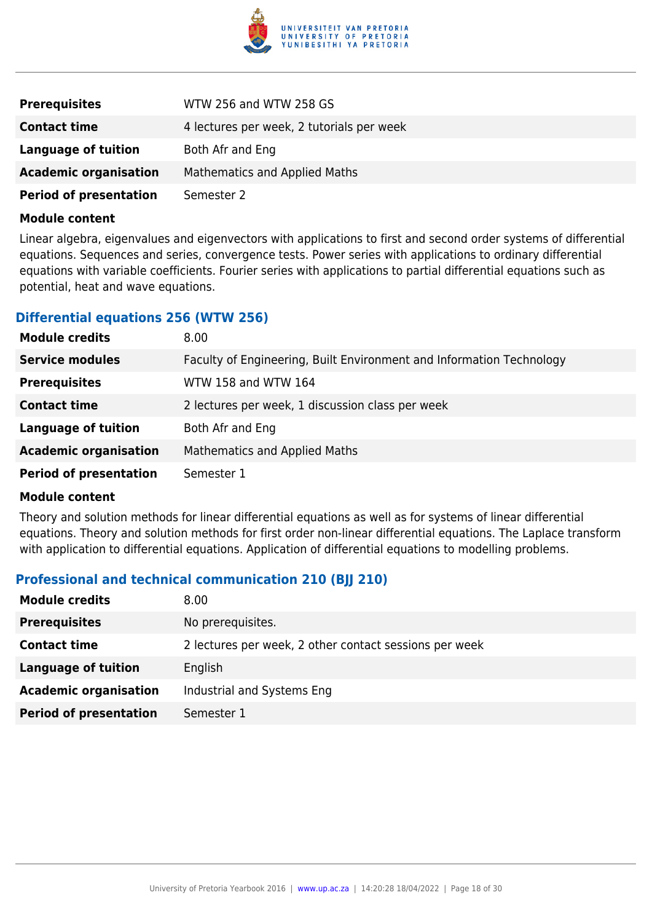

| <b>Prerequisites</b>          | WTW 256 and WTW 258 GS                    |
|-------------------------------|-------------------------------------------|
| <b>Contact time</b>           | 4 lectures per week, 2 tutorials per week |
| Language of tuition           | Both Afr and Eng                          |
| <b>Academic organisation</b>  | Mathematics and Applied Maths             |
| <b>Period of presentation</b> | Semester 2                                |

Linear algebra, eigenvalues and eigenvectors with applications to first and second order systems of differential equations. Sequences and series, convergence tests. Power series with applications to ordinary differential equations with variable coefficients. Fourier series with applications to partial differential equations such as potential, heat and wave equations.

#### **Differential equations 256 (WTW 256)**

| <b>Module credits</b>         | 8.00                                                                 |
|-------------------------------|----------------------------------------------------------------------|
| <b>Service modules</b>        | Faculty of Engineering, Built Environment and Information Technology |
| <b>Prerequisites</b>          | WTW 158 and WTW 164                                                  |
| <b>Contact time</b>           | 2 lectures per week, 1 discussion class per week                     |
| <b>Language of tuition</b>    | Both Afr and Eng                                                     |
| <b>Academic organisation</b>  | <b>Mathematics and Applied Maths</b>                                 |
| <b>Period of presentation</b> | Semester 1                                                           |

#### **Module content**

Theory and solution methods for linear differential equations as well as for systems of linear differential equations. Theory and solution methods for first order non-linear differential equations. The Laplace transform with application to differential equations. Application of differential equations to modelling problems.

#### **Professional and technical communication 210 (BJJ 210)**

| <b>Module credits</b>         | 8.00                                                   |
|-------------------------------|--------------------------------------------------------|
| <b>Prerequisites</b>          | No prerequisites.                                      |
| <b>Contact time</b>           | 2 lectures per week, 2 other contact sessions per week |
| Language of tuition           | English                                                |
| <b>Academic organisation</b>  | Industrial and Systems Eng                             |
| <b>Period of presentation</b> | Semester 1                                             |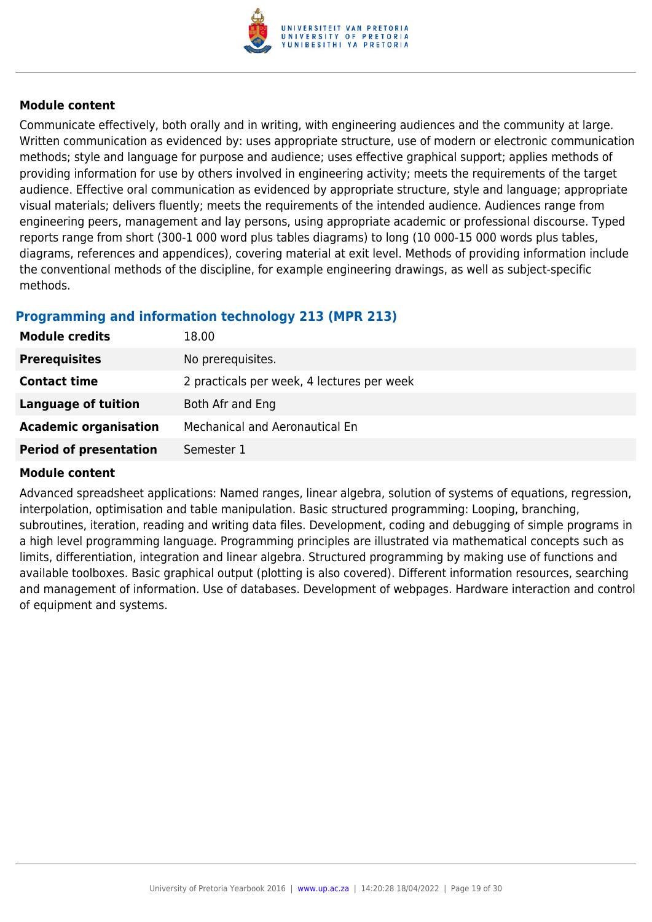

Communicate effectively, both orally and in writing, with engineering audiences and the community at large. Written communication as evidenced by: uses appropriate structure, use of modern or electronic communication methods; style and language for purpose and audience; uses effective graphical support; applies methods of providing information for use by others involved in engineering activity; meets the requirements of the target audience. Effective oral communication as evidenced by appropriate structure, style and language; appropriate visual materials; delivers fluently; meets the requirements of the intended audience. Audiences range from engineering peers, management and lay persons, using appropriate academic or professional discourse. Typed reports range from short (300-1 000 word plus tables diagrams) to long (10 000-15 000 words plus tables, diagrams, references and appendices), covering material at exit level. Methods of providing information include the conventional methods of the discipline, for example engineering drawings, as well as subject-specific methods.

# **Programming and information technology 213 (MPR 213)**

| <b>Module credits</b>         | 18.00                                      |
|-------------------------------|--------------------------------------------|
| <b>Prerequisites</b>          | No prerequisites.                          |
| <b>Contact time</b>           | 2 practicals per week, 4 lectures per week |
| <b>Language of tuition</b>    | Both Afr and Eng                           |
| <b>Academic organisation</b>  | <b>Mechanical and Aeronautical En</b>      |
| <b>Period of presentation</b> | Semester 1                                 |
|                               |                                            |

#### **Module content**

Advanced spreadsheet applications: Named ranges, linear algebra, solution of systems of equations, regression, interpolation, optimisation and table manipulation. Basic structured programming: Looping, branching, subroutines, iteration, reading and writing data files. Development, coding and debugging of simple programs in a high level programming language. Programming principles are illustrated via mathematical concepts such as limits, differentiation, integration and linear algebra. Structured programming by making use of functions and available toolboxes. Basic graphical output (plotting is also covered). Different information resources, searching and management of information. Use of databases. Development of webpages. Hardware interaction and control of equipment and systems.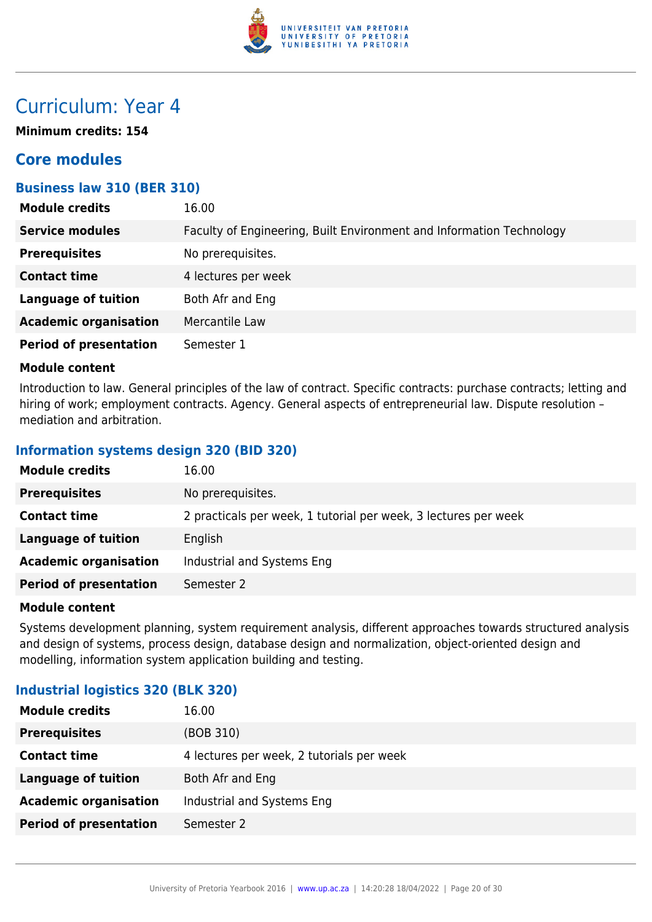

# Curriculum: Year 4

**Minimum credits: 154**

# **Core modules**

## **Business law 310 (BER 310)**

| <b>Module credits</b>         | 16.00                                                                |
|-------------------------------|----------------------------------------------------------------------|
| <b>Service modules</b>        | Faculty of Engineering, Built Environment and Information Technology |
| <b>Prerequisites</b>          | No prerequisites.                                                    |
| <b>Contact time</b>           | 4 lectures per week                                                  |
| <b>Language of tuition</b>    | Both Afr and Eng                                                     |
| <b>Academic organisation</b>  | Mercantile Law                                                       |
| <b>Period of presentation</b> | Semester 1                                                           |

#### **Module content**

Introduction to law. General principles of the law of contract. Specific contracts: purchase contracts; letting and hiring of work; employment contracts. Agency. General aspects of entrepreneurial law. Dispute resolution mediation and arbitration.

### **Information systems design 320 (BID 320)**

| <b>Module credits</b>         | 16.00                                                           |
|-------------------------------|-----------------------------------------------------------------|
| <b>Prerequisites</b>          | No prerequisites.                                               |
| <b>Contact time</b>           | 2 practicals per week, 1 tutorial per week, 3 lectures per week |
| <b>Language of tuition</b>    | English                                                         |
| <b>Academic organisation</b>  | Industrial and Systems Eng                                      |
| <b>Period of presentation</b> | Semester 2                                                      |

#### **Module content**

Systems development planning, system requirement analysis, different approaches towards structured analysis and design of systems, process design, database design and normalization, object-oriented design and modelling, information system application building and testing.

### **Industrial logistics 320 (BLK 320)**

| <b>Module credits</b>         | 16.00                                     |
|-------------------------------|-------------------------------------------|
| <b>Prerequisites</b>          | (BOB 310)                                 |
| <b>Contact time</b>           | 4 lectures per week, 2 tutorials per week |
| <b>Language of tuition</b>    | Both Afr and Eng                          |
| <b>Academic organisation</b>  | Industrial and Systems Eng                |
| <b>Period of presentation</b> | Semester 2                                |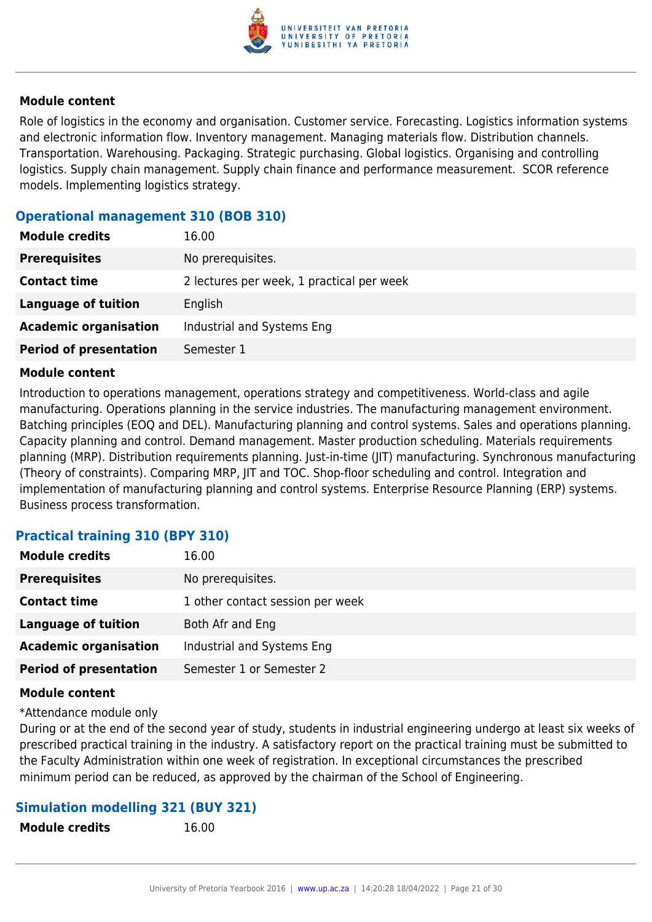

Role of logistics in the economy and organisation. Customer service. Forecasting. Logistics information systems and electronic information flow. Inventory management. Managing materials flow. Distribution channels. Transportation. Warehousing. Packaging. Strategic purchasing. Global logistics. Organising and controlling logistics. Supply chain management. Supply chain finance and performance measurement. SCOR reference models. Implementing logistics strategy.

## **Operational management 310 (BOB 310)**

| <b>Module credits</b>         | 16.00                                     |
|-------------------------------|-------------------------------------------|
| <b>Prerequisites</b>          | No prerequisites.                         |
| <b>Contact time</b>           | 2 lectures per week, 1 practical per week |
| <b>Language of tuition</b>    | English                                   |
| <b>Academic organisation</b>  | Industrial and Systems Eng                |
| <b>Period of presentation</b> | Semester 1                                |

#### **Module content**

Introduction to operations management, operations strategy and competitiveness. World-class and agile manufacturing. Operations planning in the service industries. The manufacturing management environment. Batching principles (EOQ and DEL). Manufacturing planning and control systems. Sales and operations planning. Capacity planning and control. Demand management. Master production scheduling. Materials requirements planning (MRP). Distribution requirements planning. Just-in-time (JIT) manufacturing. Synchronous manufacturing (Theory of constraints). Comparing MRP, JIT and TOC. Shop-floor scheduling and control. Integration and implementation of manufacturing planning and control systems. Enterprise Resource Planning (ERP) systems. Business process transformation.

#### **Practical training 310 (BPY 310)**

| <b>Module credits</b>         | 16.00                            |
|-------------------------------|----------------------------------|
| <b>Prerequisites</b>          | No prerequisites.                |
| <b>Contact time</b>           | 1 other contact session per week |
| <b>Language of tuition</b>    | Both Afr and Eng                 |
| <b>Academic organisation</b>  | Industrial and Systems Eng       |
| <b>Period of presentation</b> | Semester 1 or Semester 2         |

#### **Module content**

\*Attendance module only

During or at the end of the second year of study, students in industrial engineering undergo at least six weeks of prescribed practical training in the industry. A satisfactory report on the practical training must be submitted to the Faculty Administration within one week of registration. In exceptional circumstances the prescribed minimum period can be reduced, as approved by the chairman of the School of Engineering.

#### **Simulation modelling 321 (BUY 321)**

**Module credits** 16.00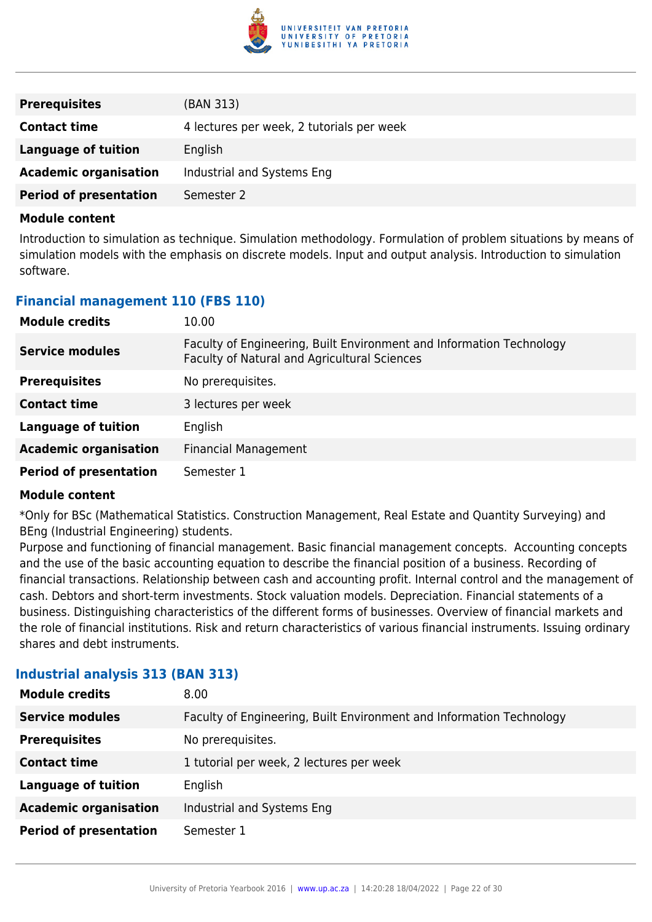

| <b>Prerequisites</b>          | (BAN 313)                                 |
|-------------------------------|-------------------------------------------|
| <b>Contact time</b>           | 4 lectures per week, 2 tutorials per week |
| Language of tuition           | English                                   |
| <b>Academic organisation</b>  | Industrial and Systems Eng                |
| <b>Period of presentation</b> | Semester 2                                |

Introduction to simulation as technique. Simulation methodology. Formulation of problem situations by means of simulation models with the emphasis on discrete models. Input and output analysis. Introduction to simulation software.

# **Financial management 110 (FBS 110)**

| <b>Module credits</b>         | 10.00                                                                                                                |
|-------------------------------|----------------------------------------------------------------------------------------------------------------------|
| Service modules               | Faculty of Engineering, Built Environment and Information Technology<br>Faculty of Natural and Agricultural Sciences |
| <b>Prerequisites</b>          | No prerequisites.                                                                                                    |
| <b>Contact time</b>           | 3 lectures per week                                                                                                  |
| <b>Language of tuition</b>    | English                                                                                                              |
| <b>Academic organisation</b>  | <b>Financial Management</b>                                                                                          |
| <b>Period of presentation</b> | Semester 1                                                                                                           |

#### **Module content**

\*Only for BSc (Mathematical Statistics. Construction Management, Real Estate and Quantity Surveying) and BEng (Industrial Engineering) students.

Purpose and functioning of financial management. Basic financial management concepts. Accounting concepts and the use of the basic accounting equation to describe the financial position of a business. Recording of financial transactions. Relationship between cash and accounting profit. Internal control and the management of cash. Debtors and short-term investments. Stock valuation models. Depreciation. Financial statements of a business. Distinguishing characteristics of the different forms of businesses. Overview of financial markets and the role of financial institutions. Risk and return characteristics of various financial instruments. Issuing ordinary shares and debt instruments.

| <b>Module credits</b>         | 8.00                                                                 |
|-------------------------------|----------------------------------------------------------------------|
| <b>Service modules</b>        | Faculty of Engineering, Built Environment and Information Technology |
| <b>Prerequisites</b>          | No prerequisites.                                                    |
| <b>Contact time</b>           | 1 tutorial per week, 2 lectures per week                             |
| <b>Language of tuition</b>    | English                                                              |
| <b>Academic organisation</b>  | Industrial and Systems Eng                                           |
| <b>Period of presentation</b> | Semester 1                                                           |

# **Industrial analysis 313 (BAN 313)**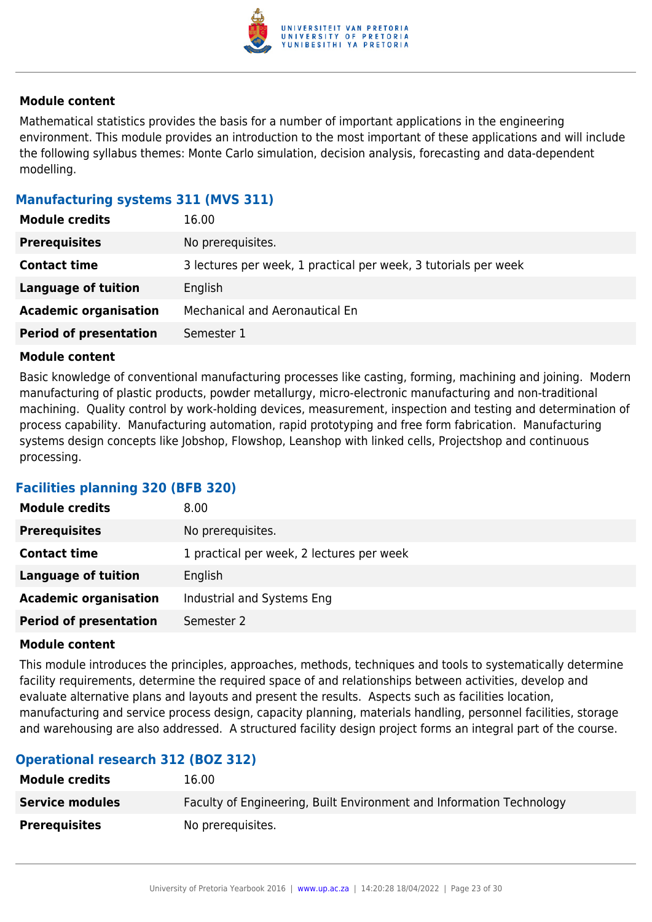

Mathematical statistics provides the basis for a number of important applications in the engineering environment. This module provides an introduction to the most important of these applications and will include the following syllabus themes: Monte Carlo simulation, decision analysis, forecasting and data-dependent modelling.

# **Manufacturing systems 311 (MVS 311)**

| <b>Module credits</b>         | 16.00                                                           |
|-------------------------------|-----------------------------------------------------------------|
| <b>Prerequisites</b>          | No prerequisites.                                               |
| <b>Contact time</b>           | 3 lectures per week, 1 practical per week, 3 tutorials per week |
| Language of tuition           | English                                                         |
| <b>Academic organisation</b>  | Mechanical and Aeronautical En                                  |
| <b>Period of presentation</b> | Semester 1                                                      |

#### **Module content**

Basic knowledge of conventional manufacturing processes like casting, forming, machining and joining. Modern manufacturing of plastic products, powder metallurgy, micro-electronic manufacturing and non-traditional machining. Quality control by work-holding devices, measurement, inspection and testing and determination of process capability. Manufacturing automation, rapid prototyping and free form fabrication. Manufacturing systems design concepts like Jobshop, Flowshop, Leanshop with linked cells, Projectshop and continuous processing.

# **Facilities planning 320 (BFB 320)**

| <b>Module credits</b>         | 8.00                                      |
|-------------------------------|-------------------------------------------|
| <b>Prerequisites</b>          | No prerequisites.                         |
| <b>Contact time</b>           | 1 practical per week, 2 lectures per week |
| <b>Language of tuition</b>    | English                                   |
| <b>Academic organisation</b>  | Industrial and Systems Eng                |
| <b>Period of presentation</b> | Semester 2                                |

#### **Module content**

This module introduces the principles, approaches, methods, techniques and tools to systematically determine facility requirements, determine the required space of and relationships between activities, develop and evaluate alternative plans and layouts and present the results. Aspects such as facilities location, manufacturing and service process design, capacity planning, materials handling, personnel facilities, storage and warehousing are also addressed. A structured facility design project forms an integral part of the course.

# **Operational research 312 (BOZ 312)**

| <b>Module credits</b>  | 16.00                                                                |
|------------------------|----------------------------------------------------------------------|
| <b>Service modules</b> | Faculty of Engineering, Built Environment and Information Technology |
| <b>Prerequisites</b>   | No prerequisites.                                                    |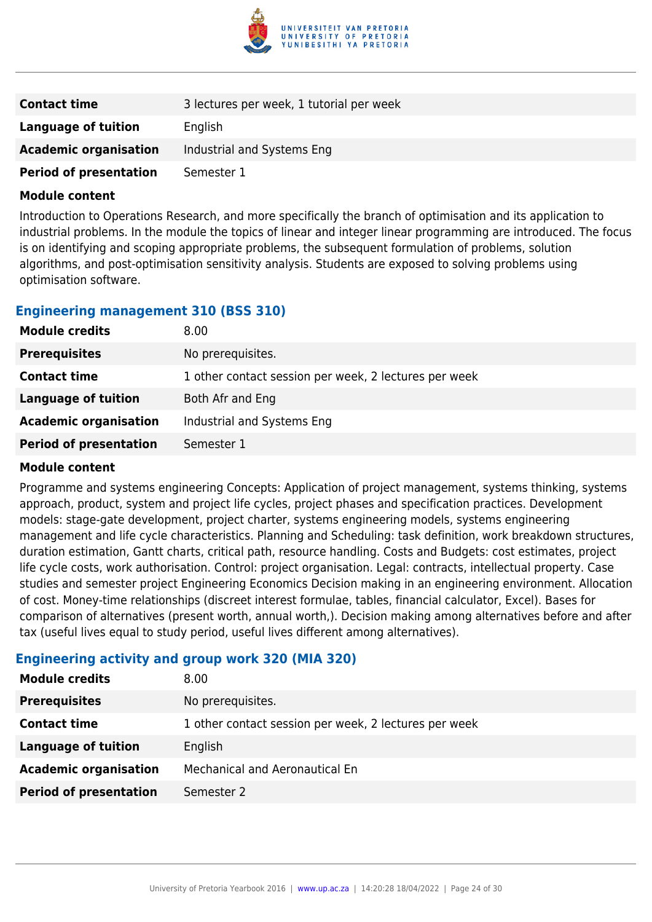

| <b>Contact time</b>           | 3 lectures per week, 1 tutorial per week |
|-------------------------------|------------------------------------------|
| Language of tuition           | English                                  |
| <b>Academic organisation</b>  | Industrial and Systems Eng               |
| <b>Period of presentation</b> | Semester 1                               |

Introduction to Operations Research, and more specifically the branch of optimisation and its application to industrial problems. In the module the topics of linear and integer linear programming are introduced. The focus is on identifying and scoping appropriate problems, the subsequent formulation of problems, solution algorithms, and post-optimisation sensitivity analysis. Students are exposed to solving problems using optimisation software.

# **Engineering management 310 (BSS 310)**

| <b>Module credits</b>         | 8.00 <sub>1</sub>                                     |
|-------------------------------|-------------------------------------------------------|
| <b>Prerequisites</b>          | No prerequisites.                                     |
| <b>Contact time</b>           | 1 other contact session per week, 2 lectures per week |
| <b>Language of tuition</b>    | Both Afr and Eng                                      |
| <b>Academic organisation</b>  | Industrial and Systems Eng                            |
| <b>Period of presentation</b> | Semester 1                                            |

#### **Module content**

Programme and systems engineering Concepts: Application of project management, systems thinking, systems approach, product, system and project life cycles, project phases and specification practices. Development models: stage-gate development, project charter, systems engineering models, systems engineering management and life cycle characteristics. Planning and Scheduling: task definition, work breakdown structures, duration estimation, Gantt charts, critical path, resource handling. Costs and Budgets: cost estimates, project life cycle costs, work authorisation. Control: project organisation. Legal: contracts, intellectual property. Case studies and semester project Engineering Economics Decision making in an engineering environment. Allocation of cost. Money-time relationships (discreet interest formulae, tables, financial calculator, Excel). Bases for comparison of alternatives (present worth, annual worth,). Decision making among alternatives before and after tax (useful lives equal to study period, useful lives different among alternatives).

# **Engineering activity and group work 320 (MIA 320)**

| <b>Module credits</b>         | 8.00                                                  |
|-------------------------------|-------------------------------------------------------|
| <b>Prerequisites</b>          | No prerequisites.                                     |
| <b>Contact time</b>           | 1 other contact session per week, 2 lectures per week |
| <b>Language of tuition</b>    | English                                               |
| <b>Academic organisation</b>  | Mechanical and Aeronautical En                        |
| <b>Period of presentation</b> | Semester 2                                            |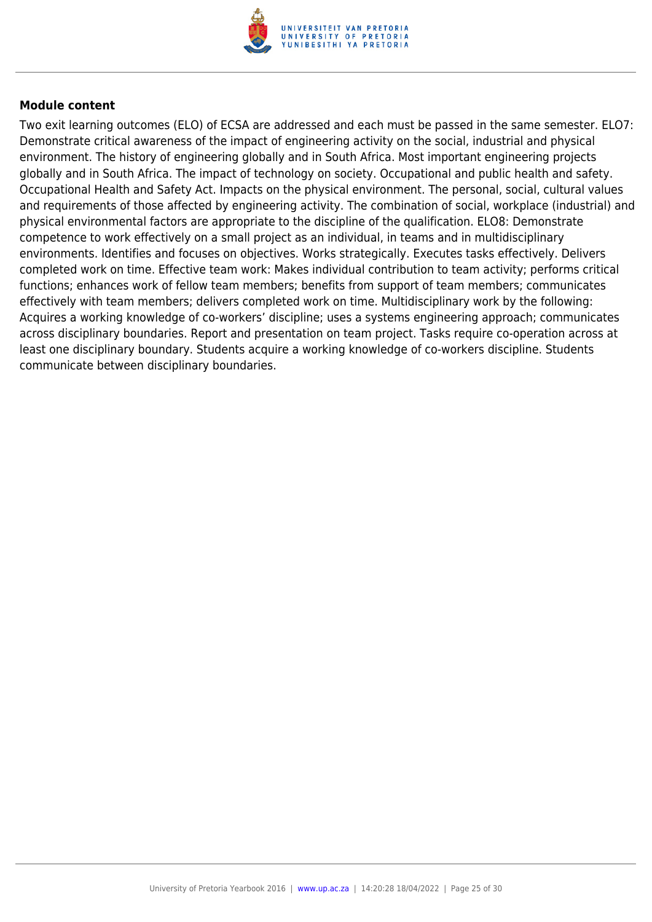

Two exit learning outcomes (ELO) of ECSA are addressed and each must be passed in the same semester. ELO7: Demonstrate critical awareness of the impact of engineering activity on the social, industrial and physical environment. The history of engineering globally and in South Africa. Most important engineering projects globally and in South Africa. The impact of technology on society. Occupational and public health and safety. Occupational Health and Safety Act. Impacts on the physical environment. The personal, social, cultural values and requirements of those affected by engineering activity. The combination of social, workplace (industrial) and physical environmental factors are appropriate to the discipline of the qualification. ELO8: Demonstrate competence to work effectively on a small project as an individual, in teams and in multidisciplinary environments. Identifies and focuses on objectives. Works strategically. Executes tasks effectively. Delivers completed work on time. Effective team work: Makes individual contribution to team activity; performs critical functions; enhances work of fellow team members; benefits from support of team members; communicates effectively with team members; delivers completed work on time. Multidisciplinary work by the following: Acquires a working knowledge of co-workers' discipline; uses a systems engineering approach; communicates across disciplinary boundaries. Report and presentation on team project. Tasks require co-operation across at least one disciplinary boundary. Students acquire a working knowledge of co-workers discipline. Students communicate between disciplinary boundaries.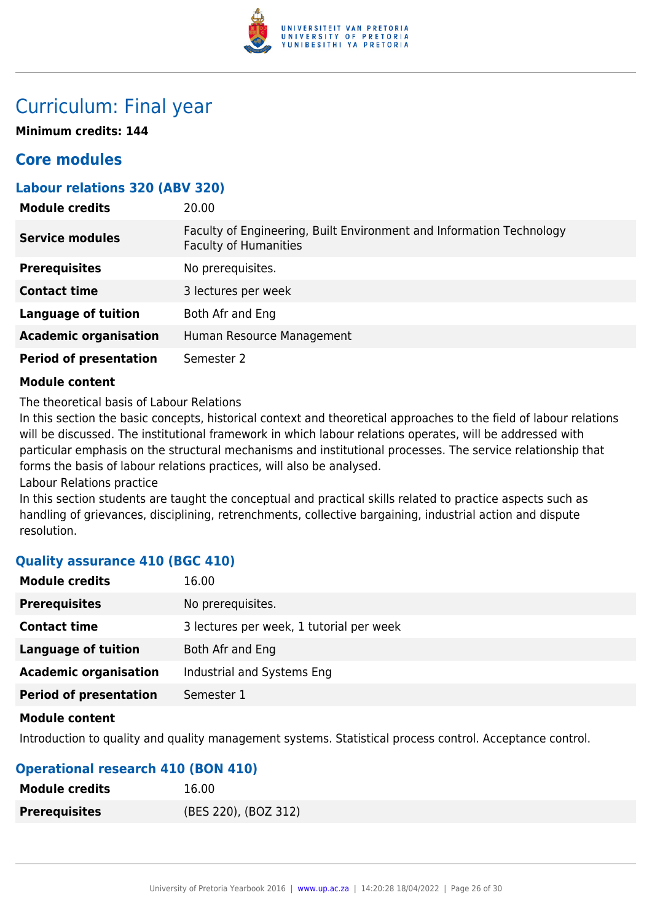

# Curriculum: Final year

**Minimum credits: 144**

# **Core modules**

# **Labour relations 320 (ABV 320)**

| <b>Module credits</b>         | 20.00                                                                                                |
|-------------------------------|------------------------------------------------------------------------------------------------------|
| <b>Service modules</b>        | Faculty of Engineering, Built Environment and Information Technology<br><b>Faculty of Humanities</b> |
| <b>Prerequisites</b>          | No prerequisites.                                                                                    |
| <b>Contact time</b>           | 3 lectures per week                                                                                  |
| <b>Language of tuition</b>    | Both Afr and Eng                                                                                     |
| <b>Academic organisation</b>  | Human Resource Management                                                                            |
| <b>Period of presentation</b> | Semester 2                                                                                           |

#### **Module content**

The theoretical basis of Labour Relations

In this section the basic concepts, historical context and theoretical approaches to the field of labour relations will be discussed. The institutional framework in which labour relations operates, will be addressed with particular emphasis on the structural mechanisms and institutional processes. The service relationship that forms the basis of labour relations practices, will also be analysed.

Labour Relations practice

In this section students are taught the conceptual and practical skills related to practice aspects such as handling of grievances, disciplining, retrenchments, collective bargaining, industrial action and dispute resolution.

# **Quality assurance 410 (BGC 410)**

| <b>Module credits</b>         | 16.00                                    |
|-------------------------------|------------------------------------------|
| <b>Prerequisites</b>          | No prerequisites.                        |
| <b>Contact time</b>           | 3 lectures per week, 1 tutorial per week |
| <b>Language of tuition</b>    | Both Afr and Eng                         |
| <b>Academic organisation</b>  | Industrial and Systems Eng               |
| <b>Period of presentation</b> | Semester 1                               |

#### **Module content**

Introduction to quality and quality management systems. Statistical process control. Acceptance control.

# **Operational research 410 (BON 410)**

| <b>Module credits</b> | 16.00                |
|-----------------------|----------------------|
| <b>Prerequisites</b>  | (BES 220), (BOZ 312) |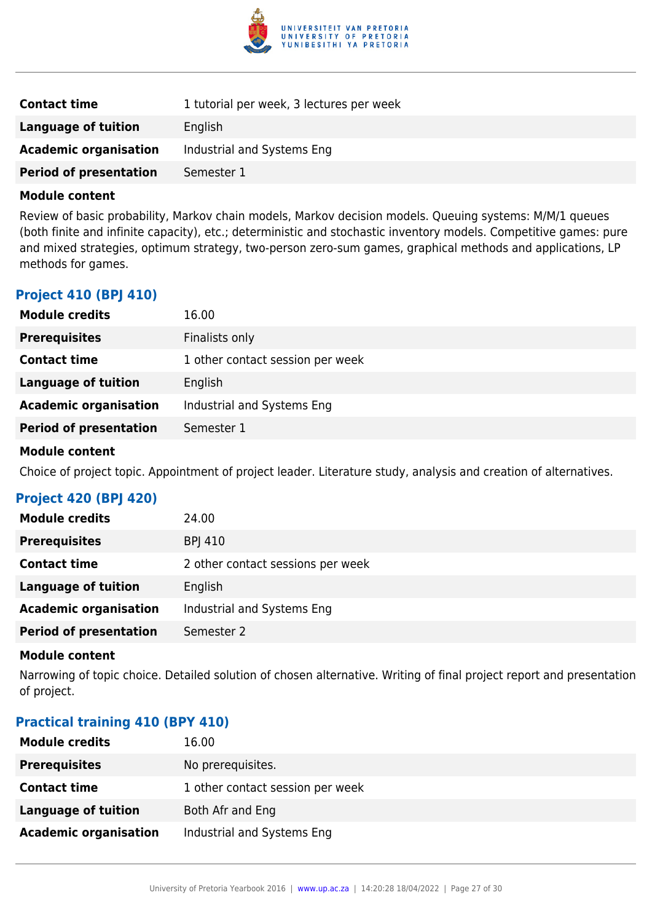

| <b>Contact time</b>           | 1 tutorial per week, 3 lectures per week |
|-------------------------------|------------------------------------------|
| Language of tuition           | English                                  |
| <b>Academic organisation</b>  | Industrial and Systems Eng               |
| <b>Period of presentation</b> | Semester 1                               |

Review of basic probability, Markov chain models, Markov decision models. Queuing systems: M/M/1 queues (both finite and infinite capacity), etc.; deterministic and stochastic inventory models. Competitive games: pure and mixed strategies, optimum strategy, two-person zero-sum games, graphical methods and applications, LP methods for games.

# **Project 410 (BPJ 410)**

| <b>Module credits</b>         | 16.00                            |
|-------------------------------|----------------------------------|
| <b>Prerequisites</b>          | Finalists only                   |
| <b>Contact time</b>           | 1 other contact session per week |
| <b>Language of tuition</b>    | English                          |
| <b>Academic organisation</b>  | Industrial and Systems Eng       |
| <b>Period of presentation</b> | Semester 1                       |
|                               |                                  |

#### **Module content**

Choice of project topic. Appointment of project leader. Literature study, analysis and creation of alternatives.

#### **Project 420 (BPJ 420)**

| <b>Module credits</b>         | 24.00                             |
|-------------------------------|-----------------------------------|
| <b>Prerequisites</b>          | <b>BPJ 410</b>                    |
| <b>Contact time</b>           | 2 other contact sessions per week |
| <b>Language of tuition</b>    | English                           |
| <b>Academic organisation</b>  | Industrial and Systems Eng        |
| <b>Period of presentation</b> | Semester 2                        |

#### **Module content**

Narrowing of topic choice. Detailed solution of chosen alternative. Writing of final project report and presentation of project.

#### **Practical training 410 (BPY 410)**

| <b>Module credits</b>        | 16.00                            |
|------------------------------|----------------------------------|
| <b>Prerequisites</b>         | No prerequisites.                |
| <b>Contact time</b>          | 1 other contact session per week |
| Language of tuition          | Both Afr and Eng                 |
| <b>Academic organisation</b> | Industrial and Systems Eng       |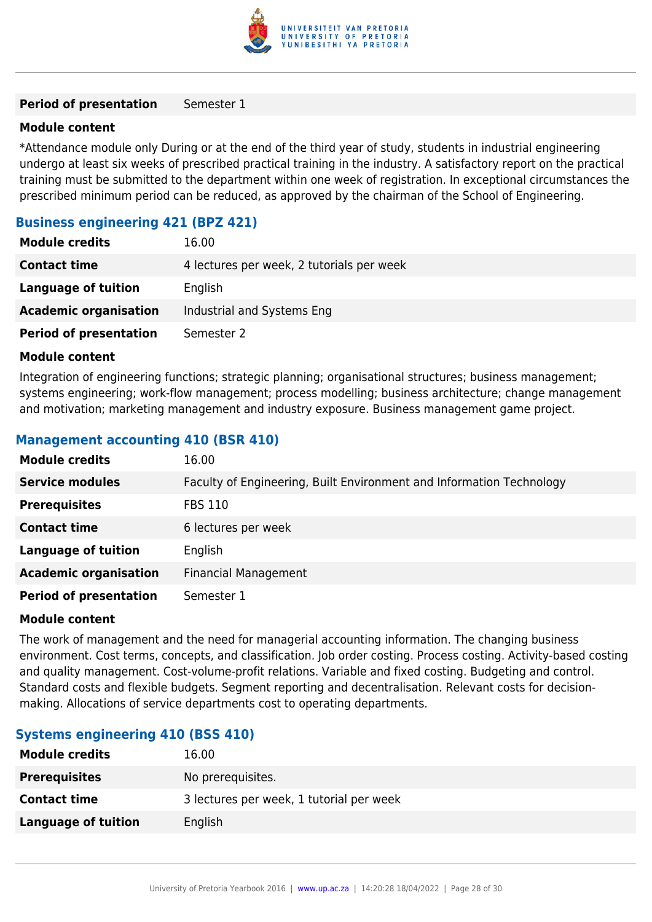

#### **Period of presentation** Semester 1

#### **Module content**

\*Attendance module only During or at the end of the third year of study, students in industrial engineering undergo at least six weeks of prescribed practical training in the industry. A satisfactory report on the practical training must be submitted to the department within one week of registration. In exceptional circumstances the prescribed minimum period can be reduced, as approved by the chairman of the School of Engineering.

#### **Business engineering 421 (BPZ 421)**

| <b>Module credits</b>         | 16.00                                     |
|-------------------------------|-------------------------------------------|
| <b>Contact time</b>           | 4 lectures per week, 2 tutorials per week |
| Language of tuition           | English                                   |
| <b>Academic organisation</b>  | Industrial and Systems Eng                |
| <b>Period of presentation</b> | Semester 2                                |

#### **Module content**

Integration of engineering functions; strategic planning; organisational structures; business management; systems engineering; work-flow management; process modelling; business architecture; change management and motivation; marketing management and industry exposure. Business management game project.

### **Management accounting 410 (BSR 410)**

| <b>Module credits</b>         | 16.00                                                                |
|-------------------------------|----------------------------------------------------------------------|
| <b>Service modules</b>        | Faculty of Engineering, Built Environment and Information Technology |
| <b>Prerequisites</b>          | <b>FBS 110</b>                                                       |
| <b>Contact time</b>           | 6 lectures per week                                                  |
| <b>Language of tuition</b>    | English                                                              |
| <b>Academic organisation</b>  | <b>Financial Management</b>                                          |
| <b>Period of presentation</b> | Semester 1                                                           |

#### **Module content**

The work of management and the need for managerial accounting information. The changing business environment. Cost terms, concepts, and classification. Job order costing. Process costing. Activity-based costing and quality management. Cost-volume-profit relations. Variable and fixed costing. Budgeting and control. Standard costs and flexible budgets. Segment reporting and decentralisation. Relevant costs for decisionmaking. Allocations of service departments cost to operating departments.

#### **Systems engineering 410 (BSS 410)**

| <b>Module credits</b> | 16.00                                    |
|-----------------------|------------------------------------------|
| <b>Prerequisites</b>  | No prerequisites.                        |
| <b>Contact time</b>   | 3 lectures per week, 1 tutorial per week |
| Language of tuition   | English                                  |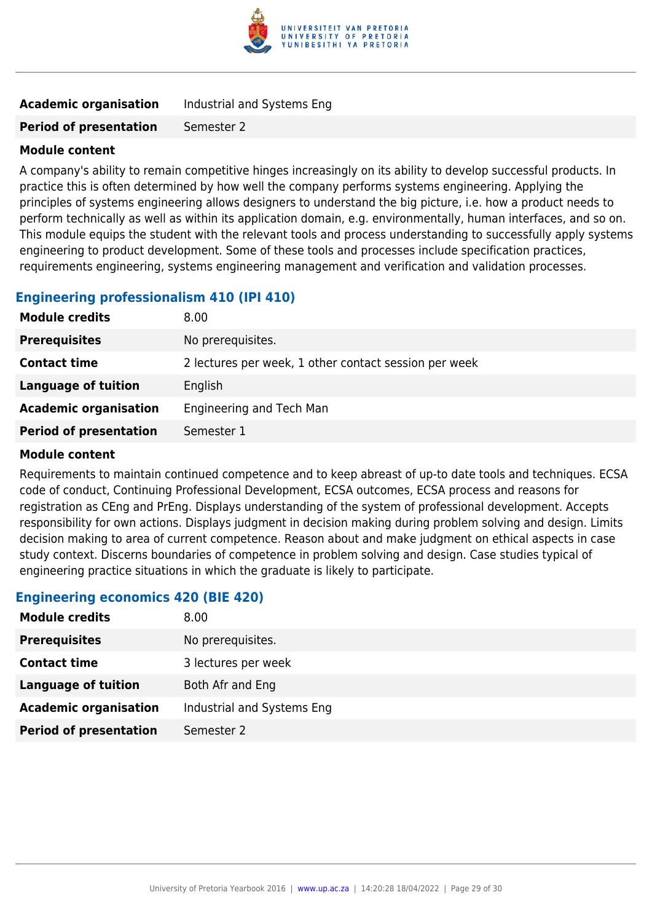

| <b>Academic organisation</b><br>Industrial and Systems Eng |
|------------------------------------------------------------|
|                                                            |

**Period of presentation** Semester 2

#### **Module content**

A company's ability to remain competitive hinges increasingly on its ability to develop successful products. In practice this is often determined by how well the company performs systems engineering. Applying the principles of systems engineering allows designers to understand the big picture, i.e. how a product needs to perform technically as well as within its application domain, e.g. environmentally, human interfaces, and so on. This module equips the student with the relevant tools and process understanding to successfully apply systems engineering to product development. Some of these tools and processes include specification practices, requirements engineering, systems engineering management and verification and validation processes.

### **Engineering professionalism 410 (IPI 410)**

| <b>Module credits</b>         | 8.00                                                  |
|-------------------------------|-------------------------------------------------------|
| <b>Prerequisites</b>          | No prerequisites.                                     |
| <b>Contact time</b>           | 2 lectures per week, 1 other contact session per week |
| <b>Language of tuition</b>    | English                                               |
| <b>Academic organisation</b>  | Engineering and Tech Man                              |
| <b>Period of presentation</b> | Semester 1                                            |
|                               |                                                       |

#### **Module content**

Requirements to maintain continued competence and to keep abreast of up-to date tools and techniques. ECSA code of conduct, Continuing Professional Development, ECSA outcomes, ECSA process and reasons for registration as CEng and PrEng. Displays understanding of the system of professional development. Accepts responsibility for own actions. Displays judgment in decision making during problem solving and design. Limits decision making to area of current competence. Reason about and make judgment on ethical aspects in case study context. Discerns boundaries of competence in problem solving and design. Case studies typical of engineering practice situations in which the graduate is likely to participate.

# **Engineering economics 420 (BIE 420)**

| <b>Module credits</b>         | 8.00                       |
|-------------------------------|----------------------------|
| <b>Prerequisites</b>          | No prerequisites.          |
| <b>Contact time</b>           | 3 lectures per week        |
| <b>Language of tuition</b>    | Both Afr and Eng           |
| <b>Academic organisation</b>  | Industrial and Systems Eng |
| <b>Period of presentation</b> | Semester 2                 |